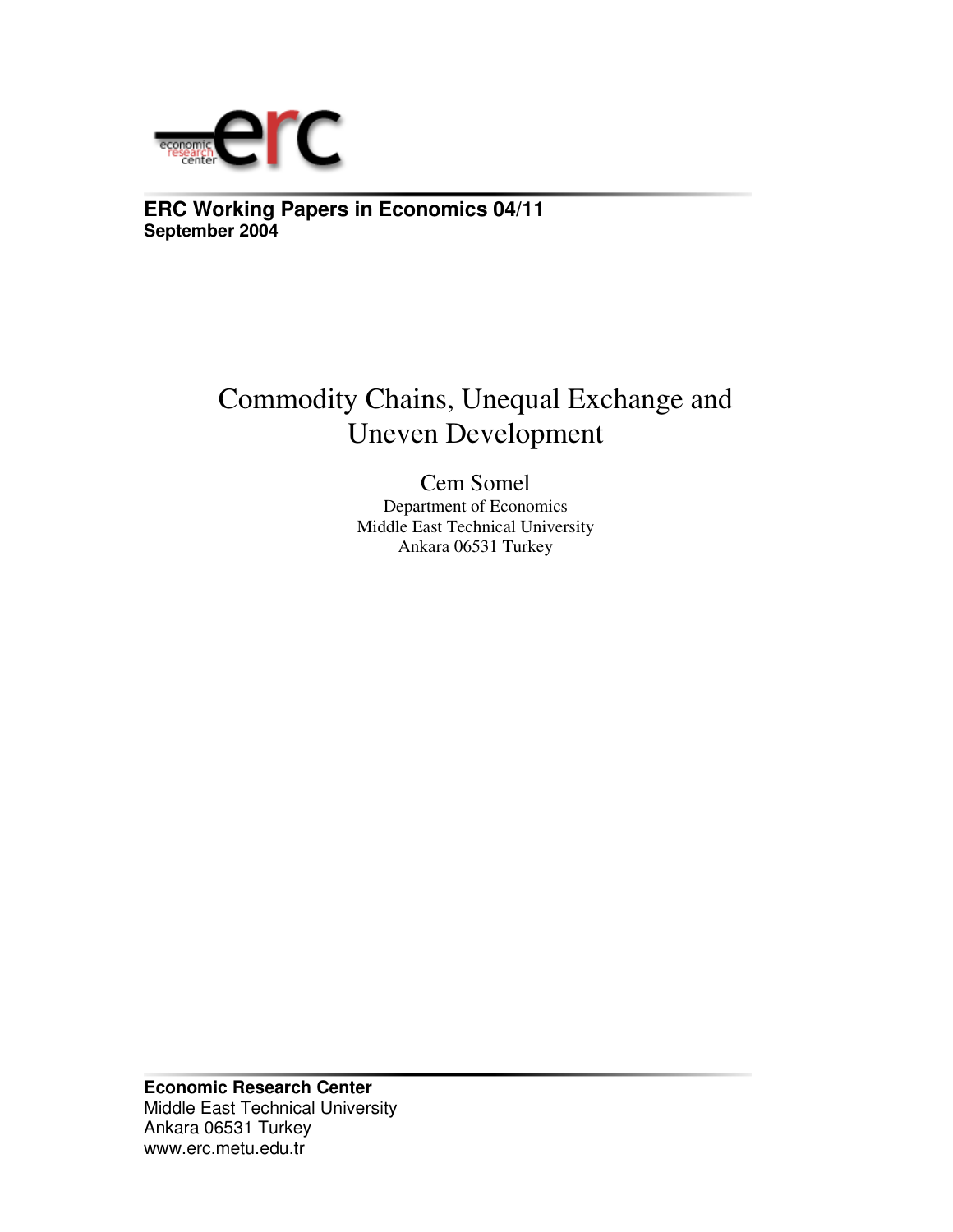

**ERC Working Papers in Economics 04/11 September 2004**

# Commodity Chains, Unequal Exchange and Uneven Development

Cem Somel Department of Economics Middle East Technical University Ankara 06531 Turkey

**Economic Research Center** Middle East Technical University Ankara 06531 Turkey www.erc.metu.edu.tr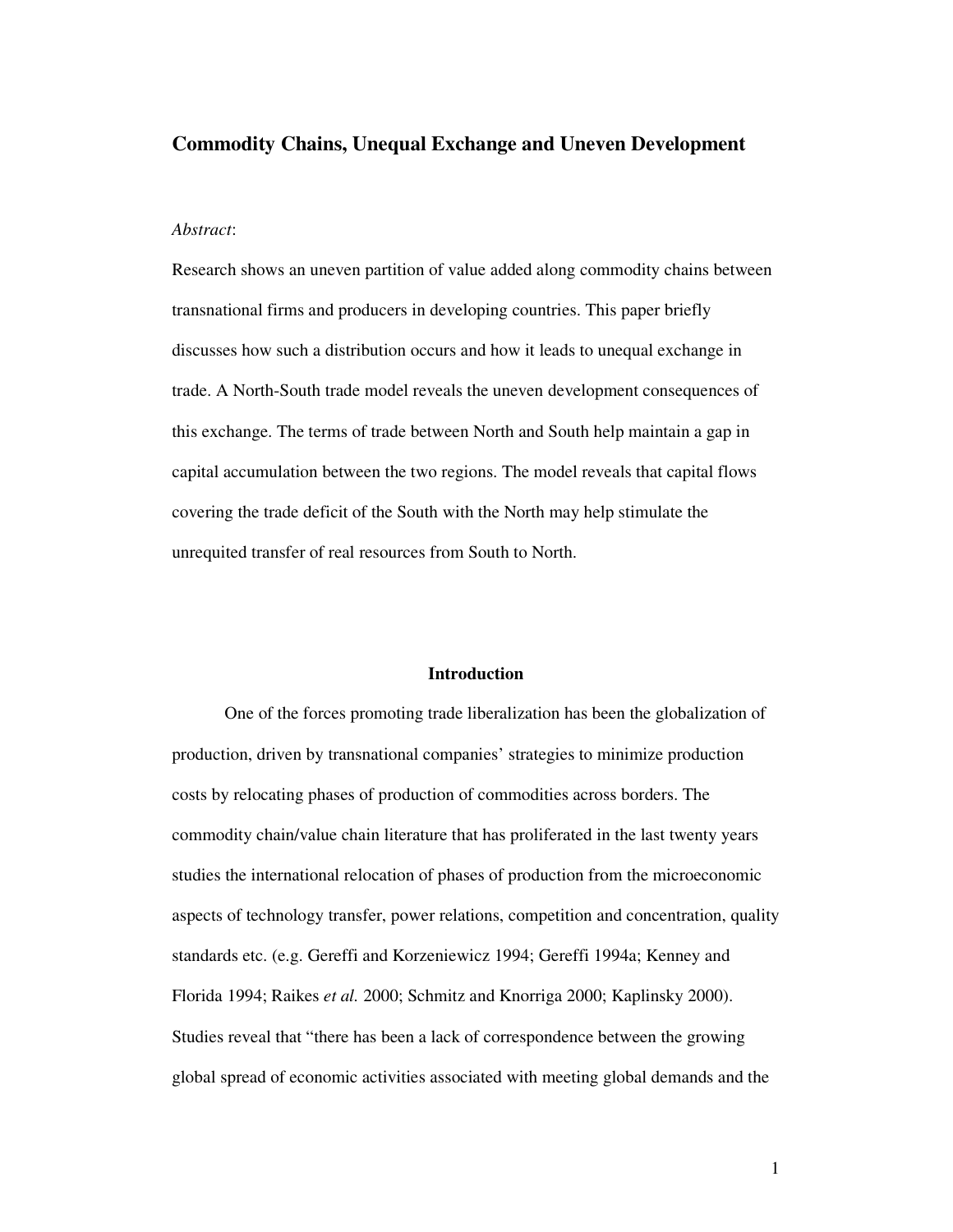# **Commodity Chains, Unequal Exchange and Uneven Development**

## *Abstract*:

Research shows an uneven partition of value added along commodity chains between transnational firms and producers in developing countries. This paper briefly discusses how such a distribution occurs and how it leads to unequal exchange in trade. A North-South trade model reveals the uneven development consequences of this exchange. The terms of trade between North and South help maintain a gap in capital accumulation between the two regions. The model reveals that capital flows covering the trade deficit of the South with the North may help stimulate the unrequited transfer of real resources from South to North.

#### **Introduction**

One of the forces promoting trade liberalization has been the globalization of production, driven by transnational companies' strategies to minimize production costs by relocating phases of production of commodities across borders. The commodity chain/value chain literature that has proliferated in the last twenty years studies the international relocation of phases of production from the microeconomic aspects of technology transfer, power relations, competition and concentration, quality standards etc. (e.g. Gereffi and Korzeniewicz 1994; Gereffi 1994a; Kenney and Florida 1994; Raikes *et al.* 2000; Schmitz and Knorriga 2000; Kaplinsky 2000). Studies reveal that "there has been a lack of correspondence between the growing global spread of economic activities associated with meeting global demands and the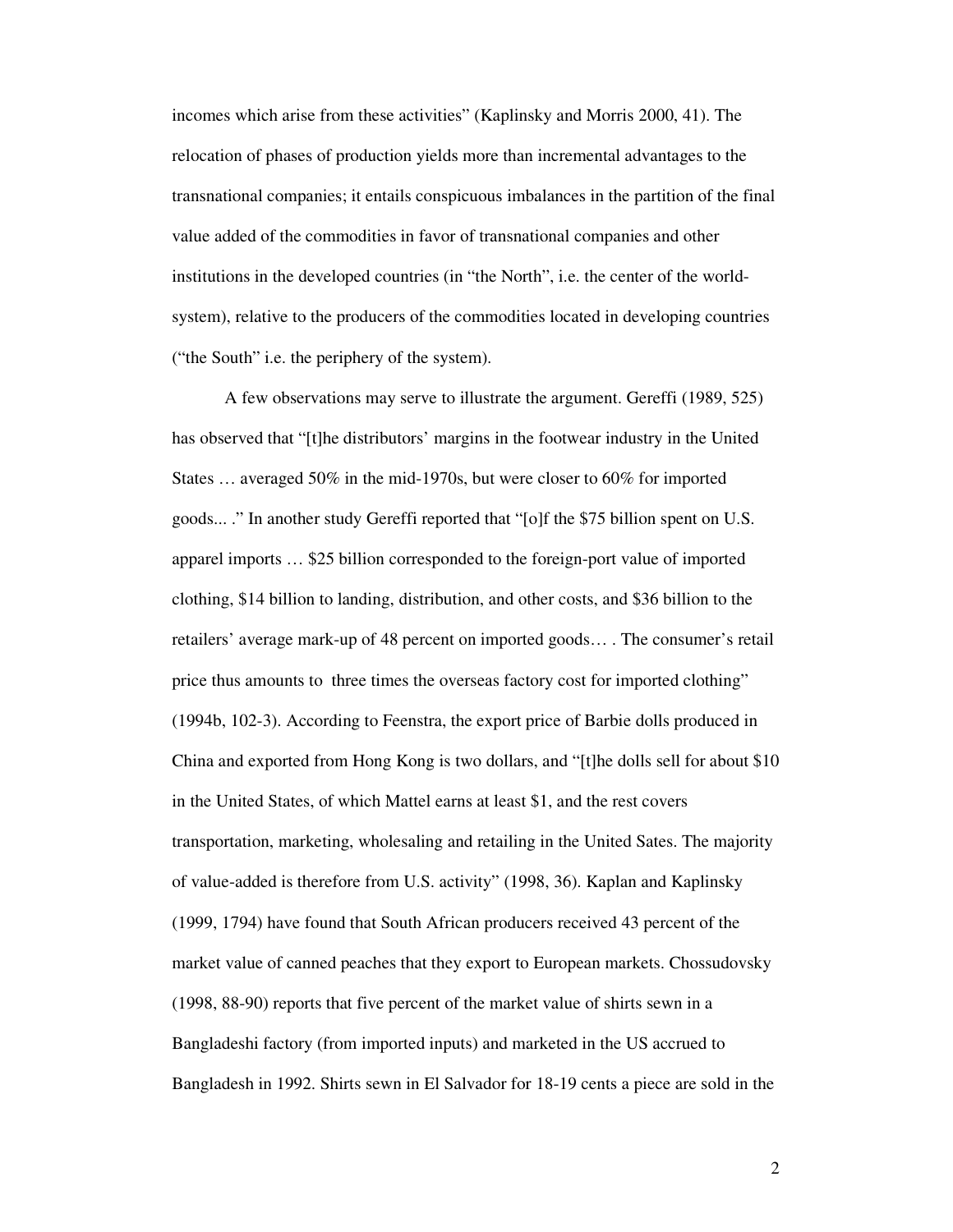incomes which arise from these activities" (Kaplinsky and Morris 2000, 41). The relocation of phases of production yields more than incremental advantages to the transnational companies; it entails conspicuous imbalances in the partition of the final value added of the commodities in favor of transnational companies and other institutions in the developed countries (in "the North", i.e. the center of the worldsystem), relative to the producers of the commodities located in developing countries ("the South" i.e. the periphery of the system).

A few observations may serve to illustrate the argument. Gereffi (1989, 525) has observed that "[t]he distributors' margins in the footwear industry in the United States … averaged 50% in the mid-1970s, but were closer to 60% for imported goods... ." In another study Gereffi reported that "[o]f the \$75 billion spent on U.S. apparel imports … \$25 billion corresponded to the foreign-port value of imported clothing, \$14 billion to landing, distribution, and other costs, and \$36 billion to the retailers' average mark-up of 48 percent on imported goods… . The consumer's retail price thus amounts to three times the overseas factory cost for imported clothing" (1994b, 102-3). According to Feenstra, the export price of Barbie dolls produced in China and exported from Hong Kong is two dollars, and "[t]he dolls sell for about \$10 in the United States, of which Mattel earns at least \$1, and the rest covers transportation, marketing, wholesaling and retailing in the United Sates. The majority of value-added is therefore from U.S. activity" (1998, 36). Kaplan and Kaplinsky (1999, 1794) have found that South African producers received 43 percent of the market value of canned peaches that they export to European markets. Chossudovsky (1998, 88-90) reports that five percent of the market value of shirts sewn in a Bangladeshi factory (from imported inputs) and marketed in the US accrued to Bangladesh in 1992. Shirts sewn in El Salvador for 18-19 cents a piece are sold in the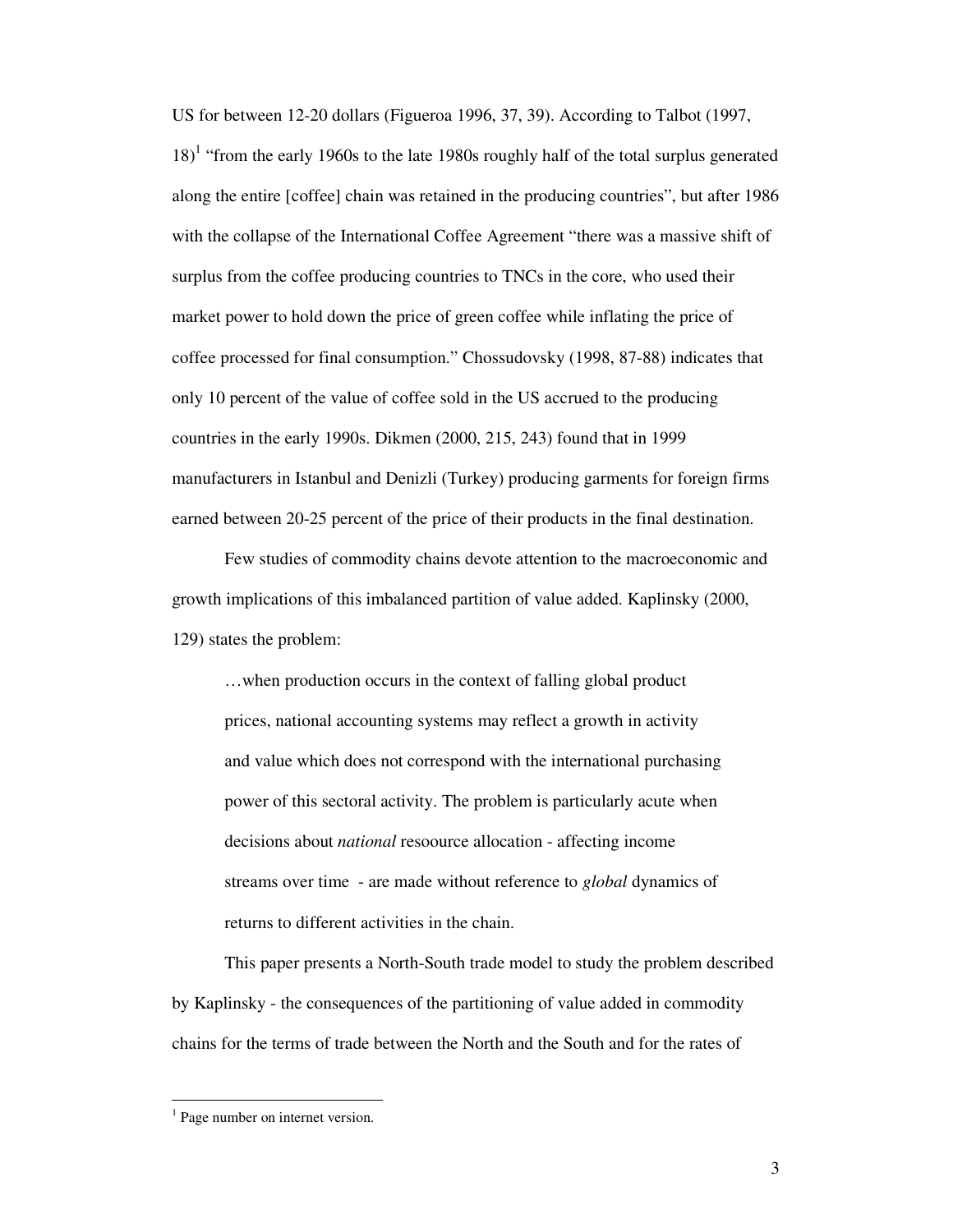US for between 12-20 dollars (Figueroa 1996, 37, 39). According to Talbot (1997, 18)<sup>1</sup> "from the early 1960s to the late 1980s roughly half of the total surplus generated along the entire [coffee] chain was retained in the producing countries", but after 1986 with the collapse of the International Coffee Agreement "there was a massive shift of surplus from the coffee producing countries to TNCs in the core, who used their market power to hold down the price of green coffee while inflating the price of coffee processed for final consumption." Chossudovsky (1998, 87-88) indicates that only 10 percent of the value of coffee sold in the US accrued to the producing countries in the early 1990s. Dikmen (2000, 215, 243) found that in 1999 manufacturers in Istanbul and Denizli (Turkey) producing garments for foreign firms earned between 20-25 percent of the price of their products in the final destination.

Few studies of commodity chains devote attention to the macroeconomic and growth implications of this imbalanced partition of value added. Kaplinsky (2000, 129) states the problem:

…when production occurs in the context of falling global product prices, national accounting systems may reflect a growth in activity and value which does not correspond with the international purchasing power of this sectoral activity. The problem is particularly acute when decisions about *national* resoource allocation - affecting income streams over time - are made without reference to *global* dynamics of returns to different activities in the chain.

This paper presents a North-South trade model to study the problem described by Kaplinsky - the consequences of the partitioning of value added in commodity chains for the terms of trade between the North and the South and for the rates of

<sup>&</sup>lt;sup>1</sup> Page number on internet version.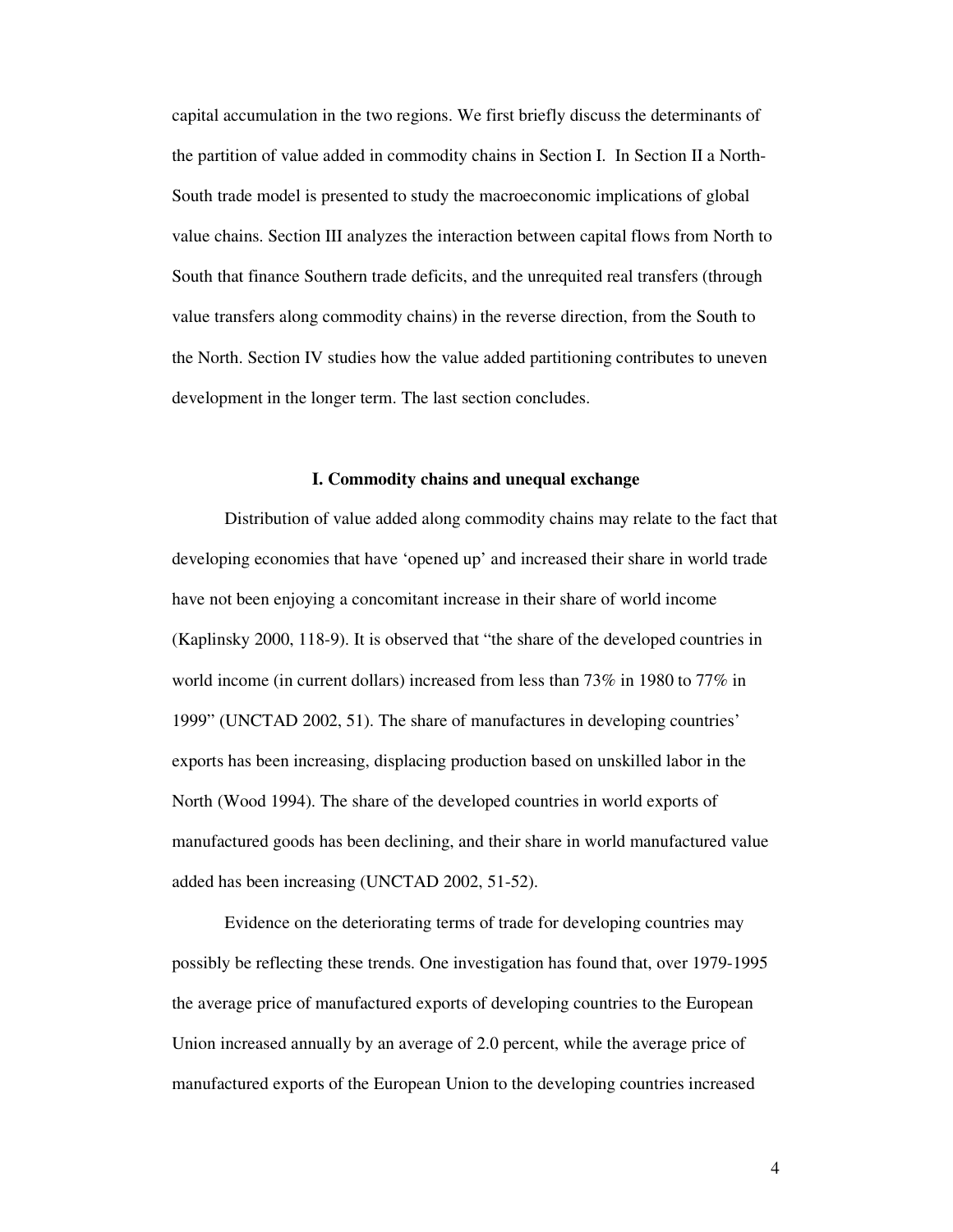capital accumulation in the two regions. We first briefly discuss the determinants of the partition of value added in commodity chains in Section I. In Section II a North-South trade model is presented to study the macroeconomic implications of global value chains. Section III analyzes the interaction between capital flows from North to South that finance Southern trade deficits, and the unrequited real transfers (through value transfers along commodity chains) in the reverse direction, from the South to the North. Section IV studies how the value added partitioning contributes to uneven development in the longer term. The last section concludes.

# **I. Commodity chains and unequal exchange**

Distribution of value added along commodity chains may relate to the fact that developing economies that have 'opened up' and increased their share in world trade have not been enjoying a concomitant increase in their share of world income (Kaplinsky 2000, 118-9). It is observed that "the share of the developed countries in world income (in current dollars) increased from less than 73% in 1980 to 77% in 1999" (UNCTAD 2002, 51). The share of manufactures in developing countries' exports has been increasing, displacing production based on unskilled labor in the North (Wood 1994). The share of the developed countries in world exports of manufactured goods has been declining, and their share in world manufactured value added has been increasing (UNCTAD 2002, 51-52).

Evidence on the deteriorating terms of trade for developing countries may possibly be reflecting these trends. One investigation has found that, over 1979-1995 the average price of manufactured exports of developing countries to the European Union increased annually by an average of 2.0 percent, while the average price of manufactured exports of the European Union to the developing countries increased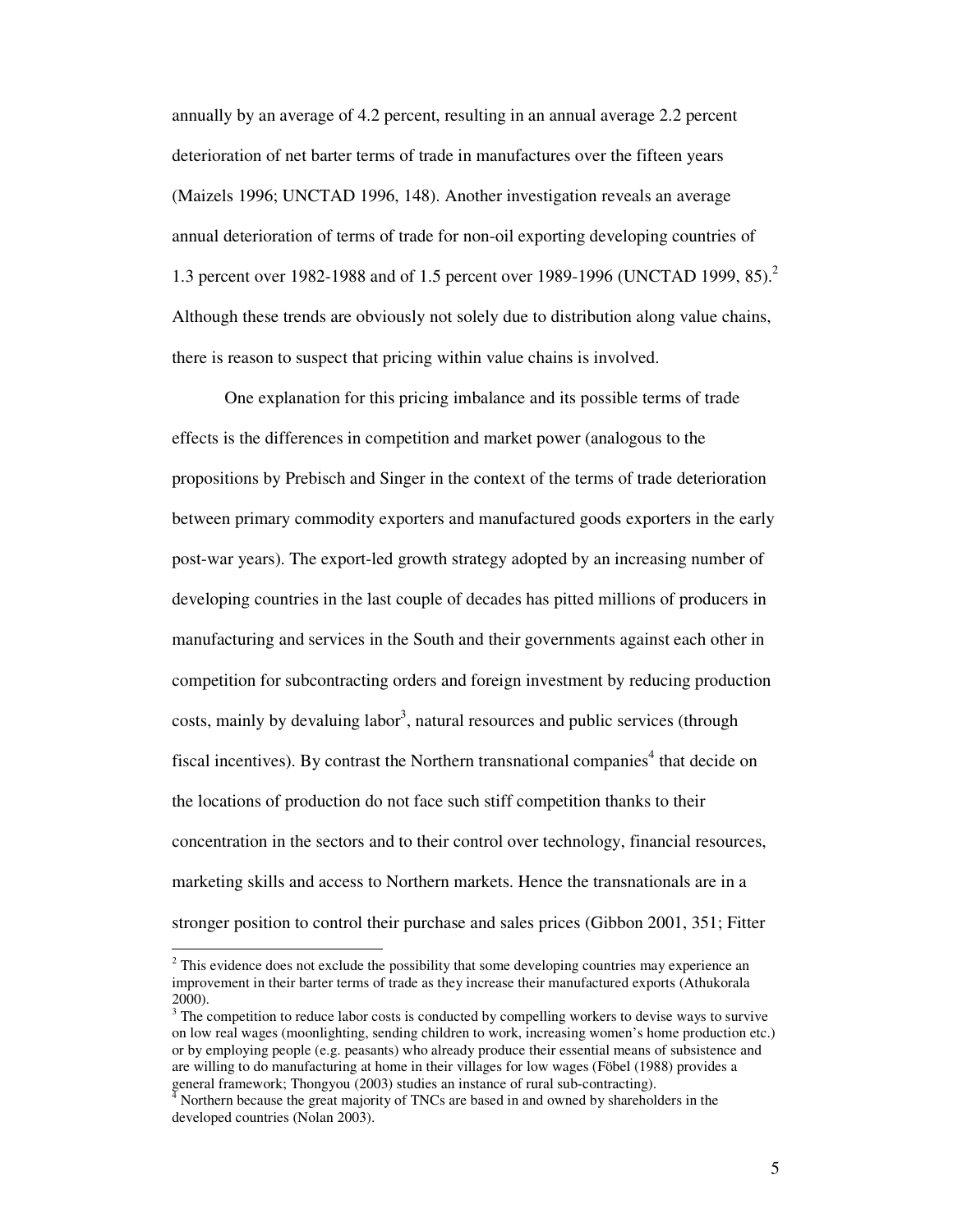annually by an average of 4.2 percent, resulting in an annual average 2.2 percent deterioration of net barter terms of trade in manufactures over the fifteen years (Maizels 1996; UNCTAD 1996, 148). Another investigation reveals an average annual deterioration of terms of trade for non-oil exporting developing countries of 1.3 percent over 1982-1988 and of 1.5 percent over 1989-1996 (UNCTAD 1999, 85). 2 Although these trends are obviously not solely due to distribution along value chains, there is reason to suspect that pricing within value chains is involved.

One explanation for this pricing imbalance and its possible terms of trade effects is the differences in competition and market power (analogous to the propositions by Prebisch and Singer in the context of the terms of trade deterioration between primary commodity exporters and manufactured goods exporters in the early post-war years). The export-led growth strategy adopted by an increasing number of developing countries in the last couple of decades has pitted millions of producers in manufacturing and services in the South and their governments against each other in competition for subcontracting orders and foreign investment by reducing production costs, mainly by devaluing labor<sup>3</sup>, natural resources and public services (through fiscal incentives). By contrast the Northern transnational companies<sup>4</sup> that decide on the locations of production do not face such stiff competition thanks to their concentration in the sectors and to their control over technology, financial resources, marketing skills and access to Northern markets. Hence the transnationals are in a stronger position to control their purchase and sales prices (Gibbon 2001, 351; Fitter

 $2^{2}$  This evidence does not exclude the possibility that some developing countries may experience an improvement in their barter terms of trade as they increase their manufactured exports (Athukorala 2000).

 $3$  The competition to reduce labor costs is conducted by compelling workers to devise ways to survive on low real wages (moonlighting, sending children to work, increasing women's home production etc.) or by employing people (e.g. peasants) who already produce their essential means of subsistence and are willing to do manufacturing at home in their villages for low wages (Föbel (1988) provides a general framework; Thongyou (2003) studies an instance of rural sub-contracting).

Northern because the great majority of TNCs are based in and owned by shareholders in the developed countries (Nolan 2003).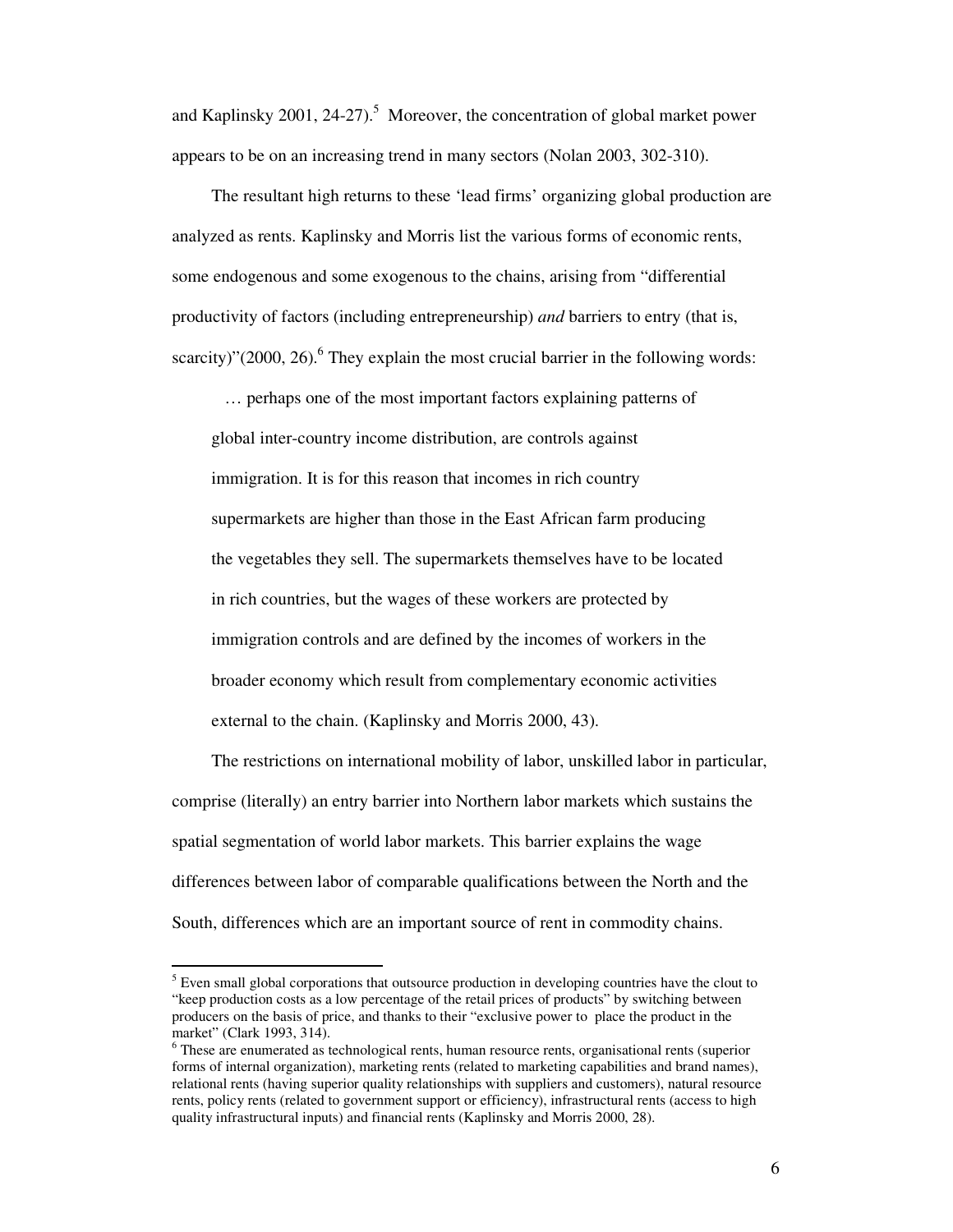and Kaplinsky 2001, 24-27).<sup>5</sup> Moreover, the concentration of global market power appears to be on an increasing trend in many sectors (Nolan 2003, 302-310).

The resultant high returns to these 'lead firms' organizing global production are analyzed as rents. Kaplinsky and Morris list the various forms of economic rents, some endogenous and some exogenous to the chains, arising from "differential productivity of factors (including entrepreneurship) *and* barriers to entry (that is, scarcity)"(2000, 26).<sup>6</sup> They explain the most crucial barrier in the following words:

… perhaps one of the most important factors explaining patterns of global inter-country income distribution, are controls against immigration. It is for this reason that incomes in rich country supermarkets are higher than those in the East African farm producing the vegetables they sell. The supermarkets themselves have to be located in rich countries, but the wages of these workers are protected by immigration controls and are defined by the incomes of workers in the broader economy which result from complementary economic activities external to the chain. (Kaplinsky and Morris 2000, 43).

The restrictions on international mobility of labor, unskilled labor in particular, comprise (literally) an entry barrier into Northern labor markets which sustains the spatial segmentation of world labor markets. This barrier explains the wage differences between labor of comparable qualifications between the North and the South, differences which are an important source of rent in commodity chains.

 $<sup>5</sup>$  Even small global corporations that outsource production in developing countries have the clout to</sup> "keep production costs as a low percentage of the retail prices of products" by switching between producers on the basis of price, and thanks to their "exclusive power to place the product in the market" (Clark 1993, 314).

<sup>&</sup>lt;sup>6</sup> These are enumerated as technological rents, human resource rents, organisational rents (superior forms of internal organization), marketing rents (related to marketing capabilities and brand names), relational rents (having superior quality relationships with suppliers and customers), natural resource rents, policy rents (related to government support or efficiency), infrastructural rents (access to high quality infrastructural inputs) and financial rents (Kaplinsky and Morris 2000, 28).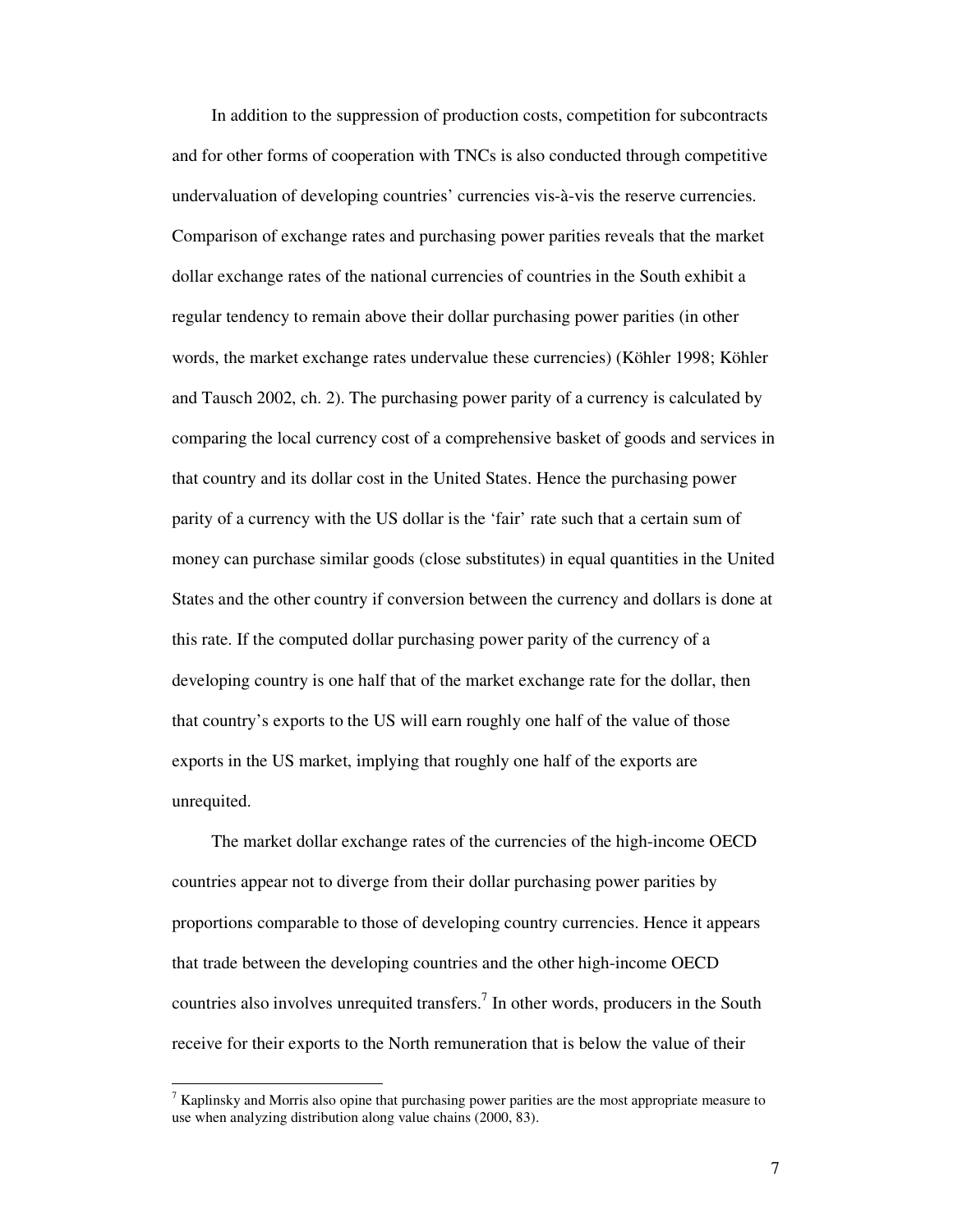In addition to the suppression of production costs, competition for subcontracts and for other forms of cooperation with TNCs is also conducted through competitive undervaluation of developing countries' currencies vis-à-vis the reserve currencies. Comparison of exchange rates and purchasing power parities reveals that the market dollar exchange rates of the national currencies of countries in the South exhibit a regular tendency to remain above their dollar purchasing power parities (in other words, the market exchange rates undervalue these currencies) (Köhler 1998; Köhler and Tausch 2002, ch. 2). The purchasing power parity of a currency is calculated by comparing the local currency cost of a comprehensive basket of goods and services in that country and its dollar cost in the United States. Hence the purchasing power parity of a currency with the US dollar is the 'fair' rate such that a certain sum of money can purchase similar goods (close substitutes) in equal quantities in the United States and the other country if conversion between the currency and dollars is done at this rate. If the computed dollar purchasing power parity of the currency of a developing country is one half that of the market exchange rate for the dollar, then that country's exports to the US will earn roughly one half of the value of those exports in the US market, implying that roughly one half of the exports are unrequited.

The market dollar exchange rates of the currencies of the high-income OECD countries appear not to diverge from their dollar purchasing power parities by proportions comparable to those of developing country currencies. Hence it appears that trade between the developing countries and the other high-income OECD countries also involves unrequited transfers. 7 In other words, producers in the South receive for their exports to the North remuneration that is below the value of their

<sup>&</sup>lt;sup>7</sup> Kaplinsky and Morris also opine that purchasing power parities are the most appropriate measure to use when analyzing distribution along value chains (2000, 83).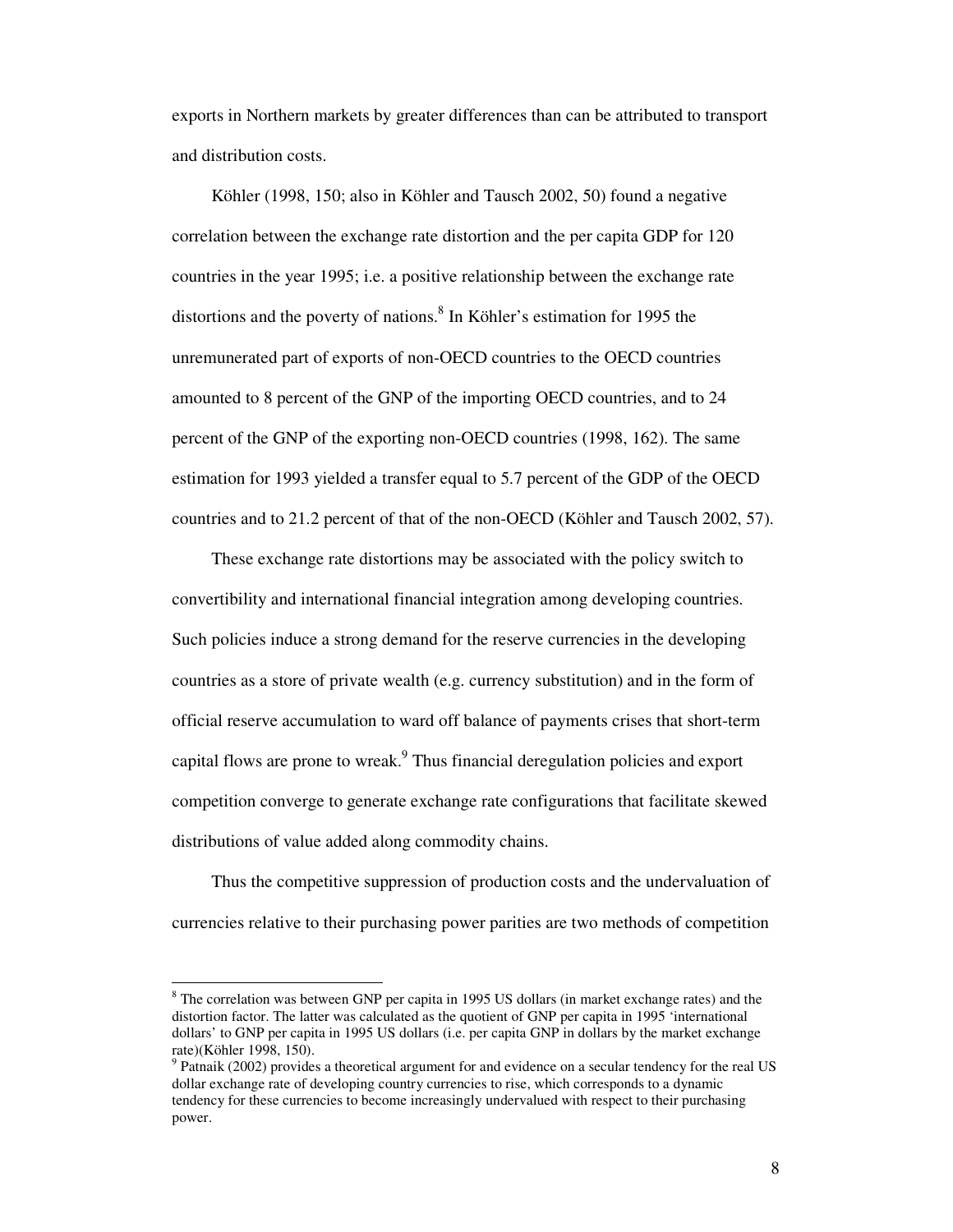exports in Northern markets by greater differences than can be attributed to transport and distribution costs.

Köhler (1998, 150; also in Köhler and Tausch 2002, 50) found a negative correlation between the exchange rate distortion and the per capita GDP for 120 countries in the year 1995; i.e. a positive relationship between the exchange rate distortions and the poverty of nations. 8 In Köhler's estimation for 1995 the unremunerated part of exports of non-OECD countries to the OECD countries amounted to 8 percent of the GNP of the importing OECD countries, and to 24 percent of the GNP of the exporting non-OECD countries (1998, 162). The same estimation for 1993 yielded a transfer equal to 5.7 percent of the GDP of the OECD countries and to 21.2 percent of that of the non-OECD (Köhler and Tausch 2002, 57).

These exchange rate distortions may be associated with the policy switch to convertibility and international financial integration among developing countries. Such policies induce a strong demand for the reserve currencies in the developing countries as a store of private wealth (e.g. currency substitution) and in the form of official reserve accumulation to ward off balance of payments crises that short-term capital flows are prone to wreak.<sup>9</sup> Thus financial deregulation policies and export competition converge to generate exchange rate configurations that facilitate skewed distributions of value added along commodity chains.

Thus the competitive suppression of production costs and the undervaluation of currencies relative to their purchasing power parities are two methods of competition

 $8$  The correlation was between GNP per capita in 1995 US dollars (in market exchange rates) and the distortion factor. The latter was calculated as the quotient of GNP per capita in 1995 'international dollars' to GNP per capita in 1995 US dollars (i.e. per capita GNP in dollars by the market exchange rate)(Köhler 1998, 150).

<sup>&</sup>lt;sup>9</sup> Patnaik (2002) provides a theoretical argument for and evidence on a secular tendency for the real US dollar exchange rate of developing country currencies to rise, which corresponds to a dynamic tendency for these currencies to become increasingly undervalued with respect to their purchasing power.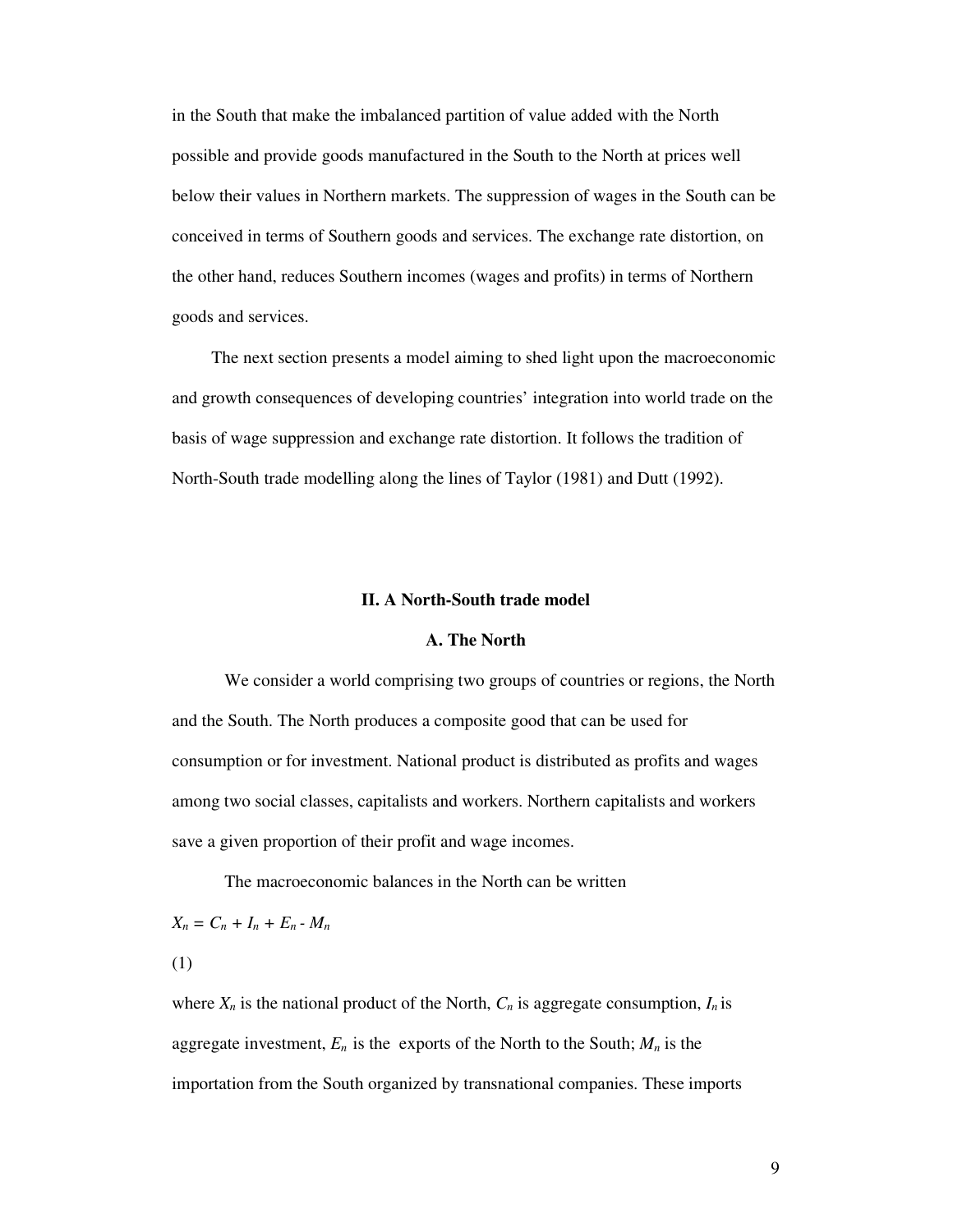in the South that make the imbalanced partition of value added with the North possible and provide goods manufactured in the South to the North at prices well below their values in Northern markets. The suppression of wages in the South can be conceived in terms of Southern goods and services. The exchange rate distortion, on the other hand, reduces Southern incomes (wages and profits) in terms of Northern goods and services.

The next section presents a model aiming to shed light upon the macroeconomic and growth consequences of developing countries' integration into world trade on the basis of wage suppression and exchange rate distortion. It follows the tradition of North-South trade modelling along the lines of Taylor (1981) and Dutt (1992).

#### **II. A North-South trade model**

# **A. The North**

We consider a world comprising two groups of countries or regions, the North and the South. The North produces a composite good that can be used for consumption or for investment. National product is distributed as profits and wages among two social classes, capitalists and workers. Northern capitalists and workers save a given proportion of their profit and wage incomes.

The macroeconomic balances in the North can be written

 $X_n = C_n + I_n + E_n - M_n$ 

(1)

where  $X_n$  is the national product of the North,  $C_n$  is aggregate consumption,  $I_n$  is aggregate investment,  $E_n$  is the exports of the North to the South;  $M_n$  is the importation from the South organized by transnational companies. These imports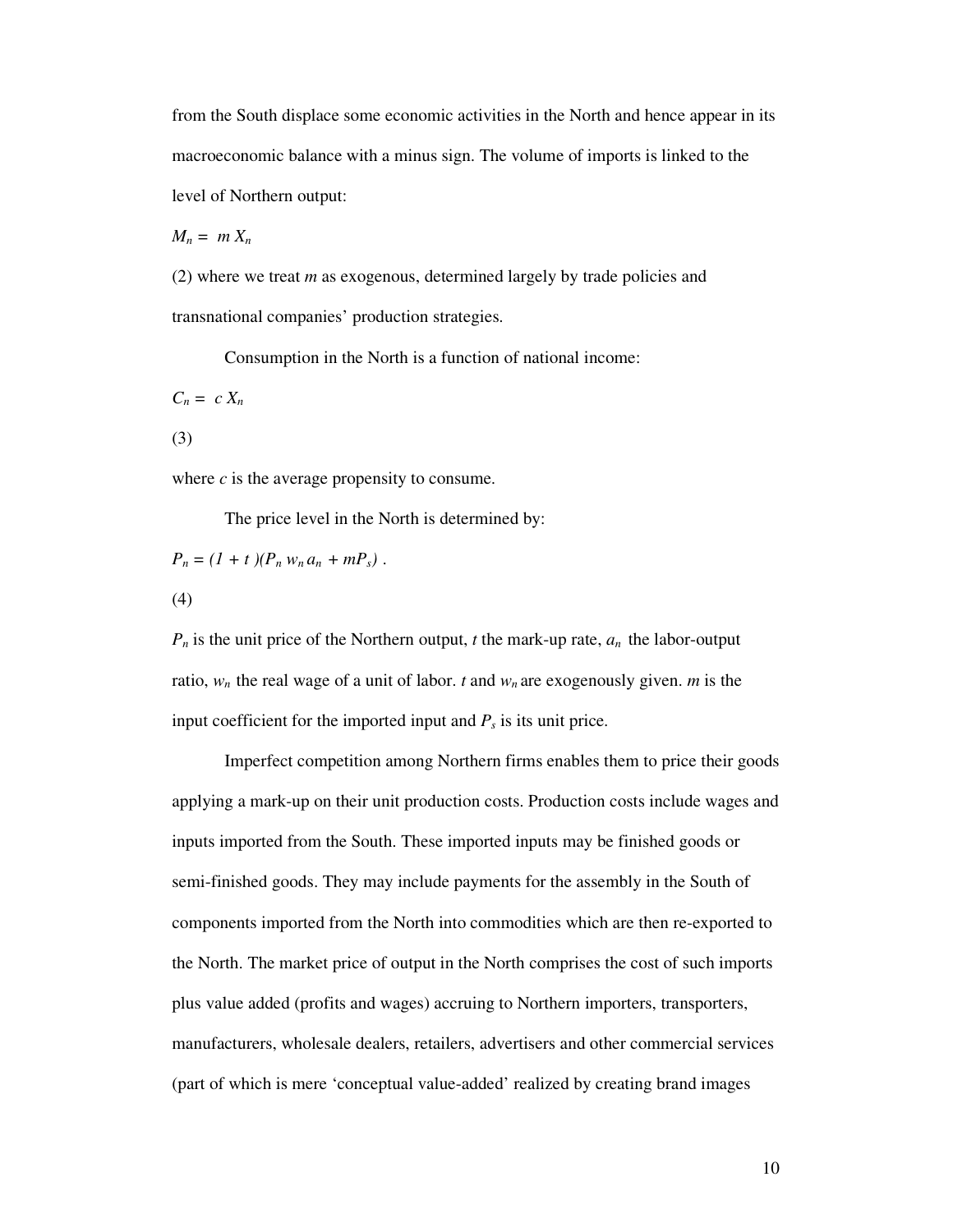from the South displace some economic activities in the North and hence appear in its macroeconomic balance with a minus sign. The volume of imports is linked to the level of Northern output:

 $M_n = m X_n$ 

(2) where we treat *m* as exogenous, determined largely by trade policies and transnational companies' production strategies.

Consumption in the North is a function of national income:

 $C_n = c X_n$ 

(3)

where  $c$  is the average propensity to consume.

The price level in the North is determined by:

$$
P_n = (1 + t)(P_n w_n a_n + mP_s) .
$$
  
(4)

 $P_n$  is the unit price of the Northern output, *t* the mark-up rate,  $a_n$  the labor-output ratio,  $w_n$  the real wage of a unit of labor. *t* and  $w_n$  are exogenously given. *m* is the input coefficient for the imported input and  $P_s$  is its unit price.

Imperfect competition among Northern firms enables them to price their goods applying a mark-up on their unit production costs. Production costs include wages and inputs imported from the South. These imported inputs may be finished goods or semi-finished goods. They may include payments for the assembly in the South of components imported from the North into commodities which are then re-exported to the North. The market price of output in the North comprises the cost of such imports plus value added (profits and wages) accruing to Northern importers, transporters, manufacturers, wholesale dealers, retailers, advertisers and other commercial services (part of which is mere 'conceptual value-added' realized by creating brand images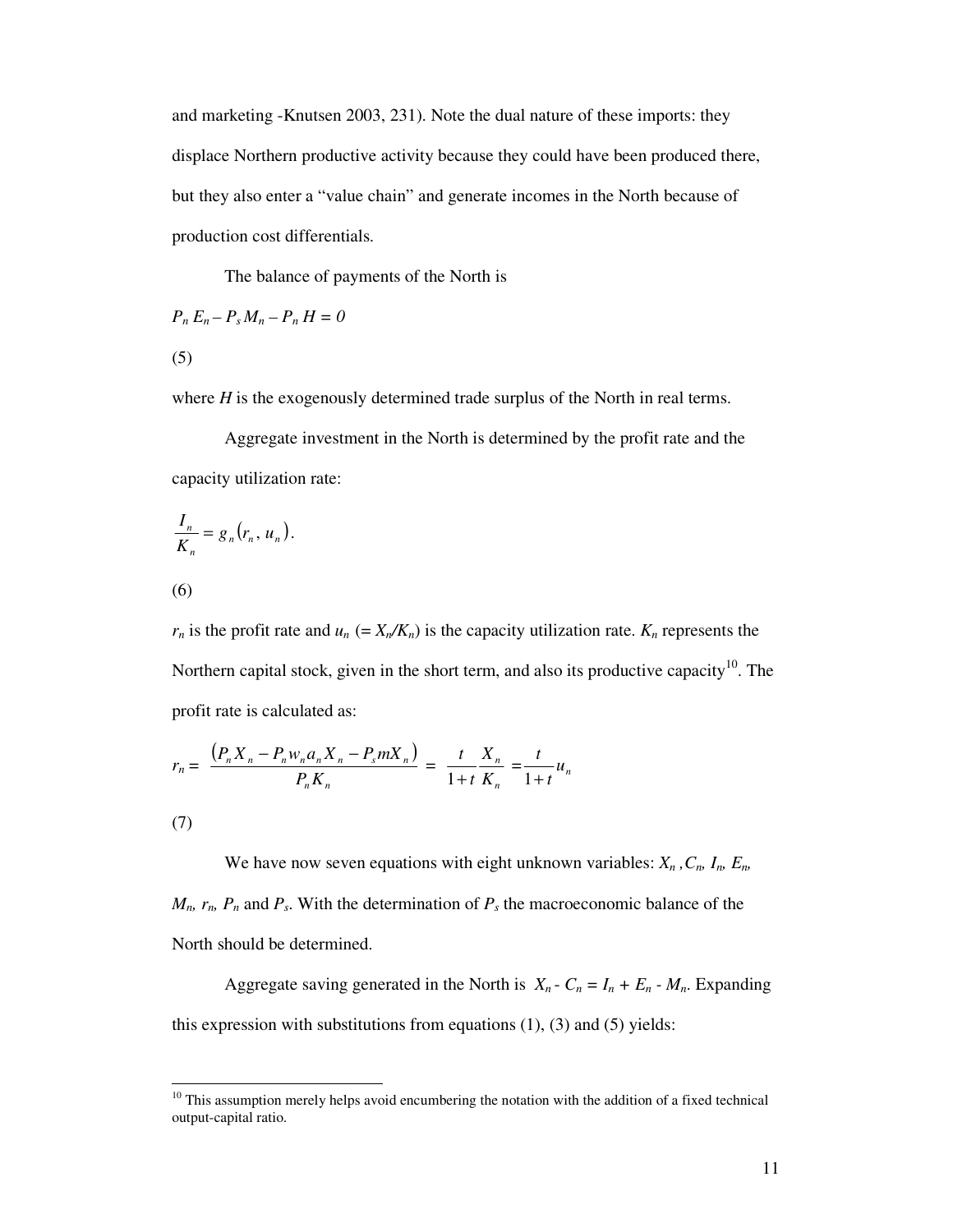and marketing -Knutsen 2003, 231). Note the dual nature of these imports: they displace Northern productive activity because they could have been produced there, but they also enter a "value chain" and generate incomes in the North because of production cost differentials.

The balance of payments of the North is

$$
P_n E_n - P_s M_n - P_n H = 0
$$

(5)

where *H* is the exogenously determined trade surplus of the North in real terms.

Aggregate investment in the North is determined by the profit rate and the capacity utilization rate:

$$
\frac{I_n}{K_n} = g_n(r_n, u_n).
$$
\n(6)

 $r_n$  is the profit rate and  $u_n$  (=  $X_n/K_n$ ) is the capacity utilization rate.  $K_n$  represents the Northern capital stock, given in the short term, and also its productive capacity<sup>10</sup>. The profit rate is calculated as:

$$
r_n = \frac{(P_n X_n - P_n w_n a_n X_n - P_s m X_n)}{P_n K_n} = \frac{t}{1+t} \frac{X_n}{K_n} = \frac{t}{1+t} u_n
$$

(7)

We have now seven equations with eight unknown variables:  $X_n$  ,  $C_n$ ,  $I_n$ ,  $E_n$ ,  $M_n$ ,  $r_n$ ,  $P_n$  and  $P_s$ . With the determination of  $P_s$  the macroeconomic balance of the North should be determined.

Aggregate saving generated in the North is  $X_n - C_n = I_n + E_n - M_n$ . Expanding this expression with substitutions from equations  $(1)$ ,  $(3)$  and  $(5)$  yields:

<sup>&</sup>lt;sup>10</sup> This assumption merely helps avoid encumbering the notation with the addition of a fixed technical output-capital ratio.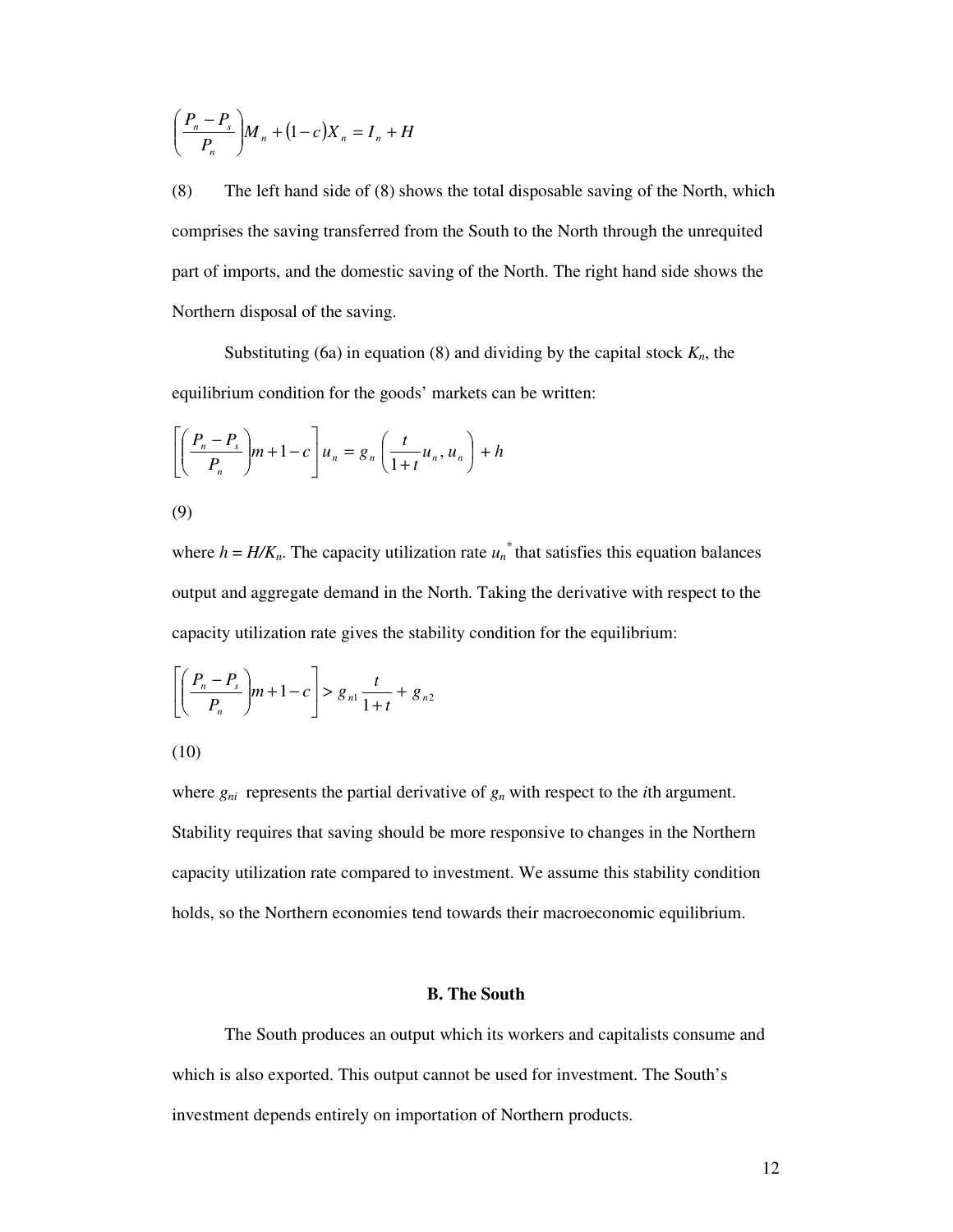$$
\left(\frac{P_n - P_s}{P_n}\right)M_n + (1 - c)X_n = I_n + H
$$

(8) The left hand side of (8) shows the total disposable saving of the North, which comprises the saving transferred from the South to the North through the unrequited part of imports, and the domestic saving of the North. The right hand side shows the Northern disposal of the saving.

Substituting (6a) in equation (8) and dividing by the capital stock *Kn*, the equilibrium condition for the goods' markets can be written:

$$
\left[ \left( \frac{P_n - P_s}{P_n} \right) m + 1 - c \right] u_n = g_n \left( \frac{t}{1 + t} u_n, u_n \right) + h
$$

$$
\left( 9\right)
$$

where  $h = H/K_n$ . The capacity utilization rate  $u_n^*$  that satisfies this equation balances output and aggregate demand in the North. Taking the derivative with respect to the capacity utilization rate gives the stability condition for the equilibrium:

$$
\left[ \left( \frac{P_n - P_s}{P_n} \right) m + 1 - c \right] > g_{n1} \frac{t}{1 + t} + g_{n2}
$$

$$
(10)
$$

where  $g_{ni}$  represents the partial derivative of  $g_n$  with respect to the *i*th argument. Stability requires that saving should be more responsive to changes in the Northern capacity utilization rate compared to investment. We assume this stability condition holds, so the Northern economies tend towards their macroeconomic equilibrium.

# **B. The South**

The South produces an output which its workers and capitalists consume and which is also exported. This output cannot be used for investment. The South's investment depends entirely on importation of Northern products.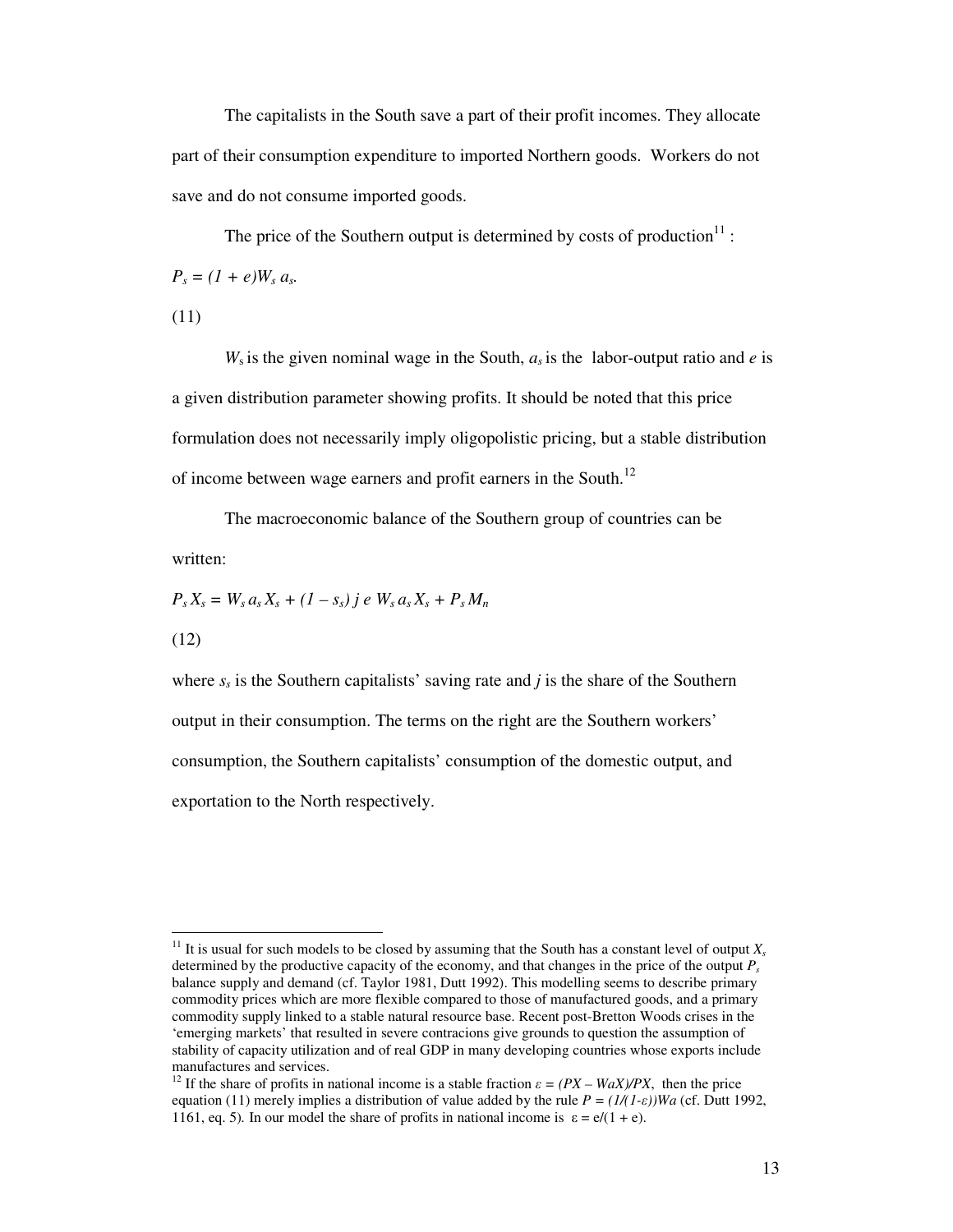The capitalists in the South save a part of their profit incomes. They allocate part of their consumption expenditure to imported Northern goods. Workers do not save and do not consume imported goods.

The price of the Southern output is determined by costs of production $11$ :  $P_s = (1 + e)W_s a_s.$ 

(11)

 $W_s$  is the given nominal wage in the South,  $a_s$  is the labor-output ratio and *e* is a given distribution parameter showing profits. It should be noted that this price formulation does not necessarily imply oligopolistic pricing, but a stable distribution of income between wage earners and profit earners in the South.<sup>12</sup>

The macroeconomic balance of the Southern group of countries can be written:

$$
P_s X_s = W_s a_s X_s + (1 - s_s) j e W_s a_s X_s + P_s M_n
$$

(12)

where  $s<sub>s</sub>$  is the Southern capitalists' saving rate and *j* is the share of the Southern output in their consumption. The terms on the right are the Southern workers' consumption, the Southern capitalists' consumption of the domestic output, and exportation to the North respectively.

<sup>&</sup>lt;sup>11</sup> It is usual for such models to be closed by assuming that the South has a constant level of output  $X_s$ determined by the productive capacity of the economy, and that changes in the price of the output  $P_s$ balance supply and demand (cf. Taylor 1981, Dutt 1992). This modelling seems to describe primary commodity prices which are more flexible compared to those of manufactured goods, and a primary commodity supply linked to a stable natural resource base. Recent post-Bretton Woods crises in the 'emerging markets' that resulted in severe contracions give grounds to question the assumption of stability of capacity utilization and of real GDP in many developing countries whose exports include manufactures and services.

<sup>&</sup>lt;sup>12</sup> If the share of profits in national income is a stable fraction  $\varepsilon = (PX - WaX)/PX$ , then the price equation (11) merely implies a distribution of value added by the rule  $P = (1/(1-\varepsilon))WA$  (cf. Dutt 1992, 1161, eq. 5). In our model the share of profits in national income is  $\varepsilon = e/(1 + e)$ .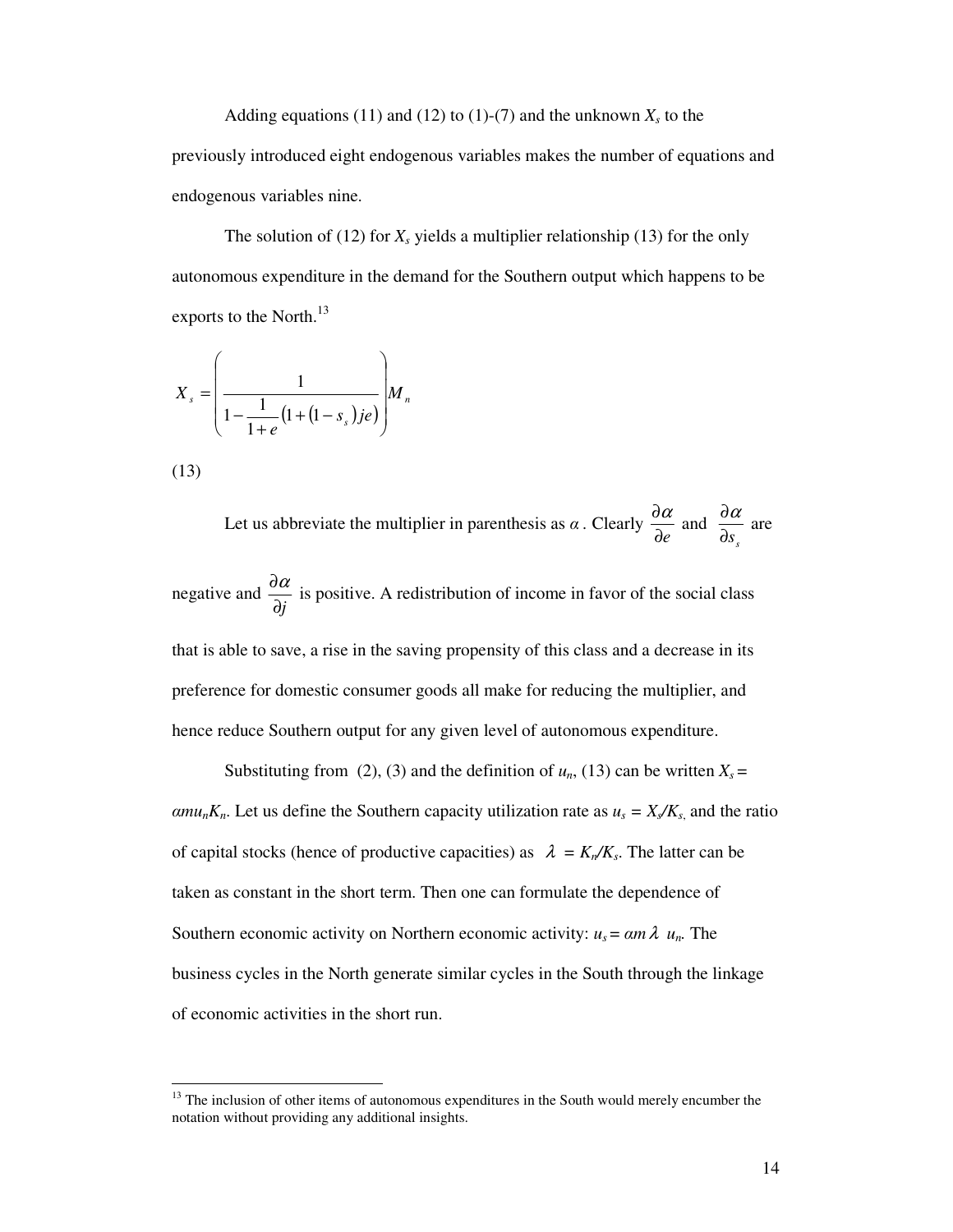Adding equations (11) and (12) to (1)-(7) and the unknown  $X_s$  to the

previously introduced eight endogenous variables makes the number of equations and endogenous variables nine.

The solution of (12) for  $X_s$  yields a multiplier relationship (13) for the only autonomous expenditure in the demand for the Southern output which happens to be exports to the North.<sup>13</sup>

$$
X_s = \left(\frac{1}{1 - \frac{1}{1 + e} \left(1 + \left(1 - s_s\right) j e\right)}\right) M_n
$$

(13)

Let us abbreviate the multiplier in parenthesis as  $\alpha$ . Clearly ∂*e*  $rac{\partial \alpha}{\partial z}$  and *s* ∂*s*  $rac{\partial \alpha}{\partial x}$  are

negative and ∂*j*  $\frac{\partial a}{\partial \lambda}$  is positive. A redistribution of income in favor of the social class

that is able to save, a rise in the saving propensity of this class and a decrease in its preference for domestic consumer goods all make for reducing the multiplier, and hence reduce Southern output for any given level of autonomous expenditure.

Substituting from (2), (3) and the definition of  $u_n$ , (13) can be written  $X_s$  =  $\alpha m u_n K_n$ . Let us define the Southern capacity utilization rate as  $u_s = X_s/K_s$ , and the ratio of capital stocks (hence of productive capacities) as  $\lambda = K_n/K_s$ . The latter can be taken as constant in the short term. Then one can formulate the dependence of Southern economic activity on Northern economic activity:  $u_s = \alpha m \lambda$   $u_n$ . The business cycles in the North generate similar cycles in the South through the linkage of economic activities in the short run.

<sup>&</sup>lt;sup>13</sup> The inclusion of other items of autonomous expenditures in the South would merely encumber the notation without providing any additional insights.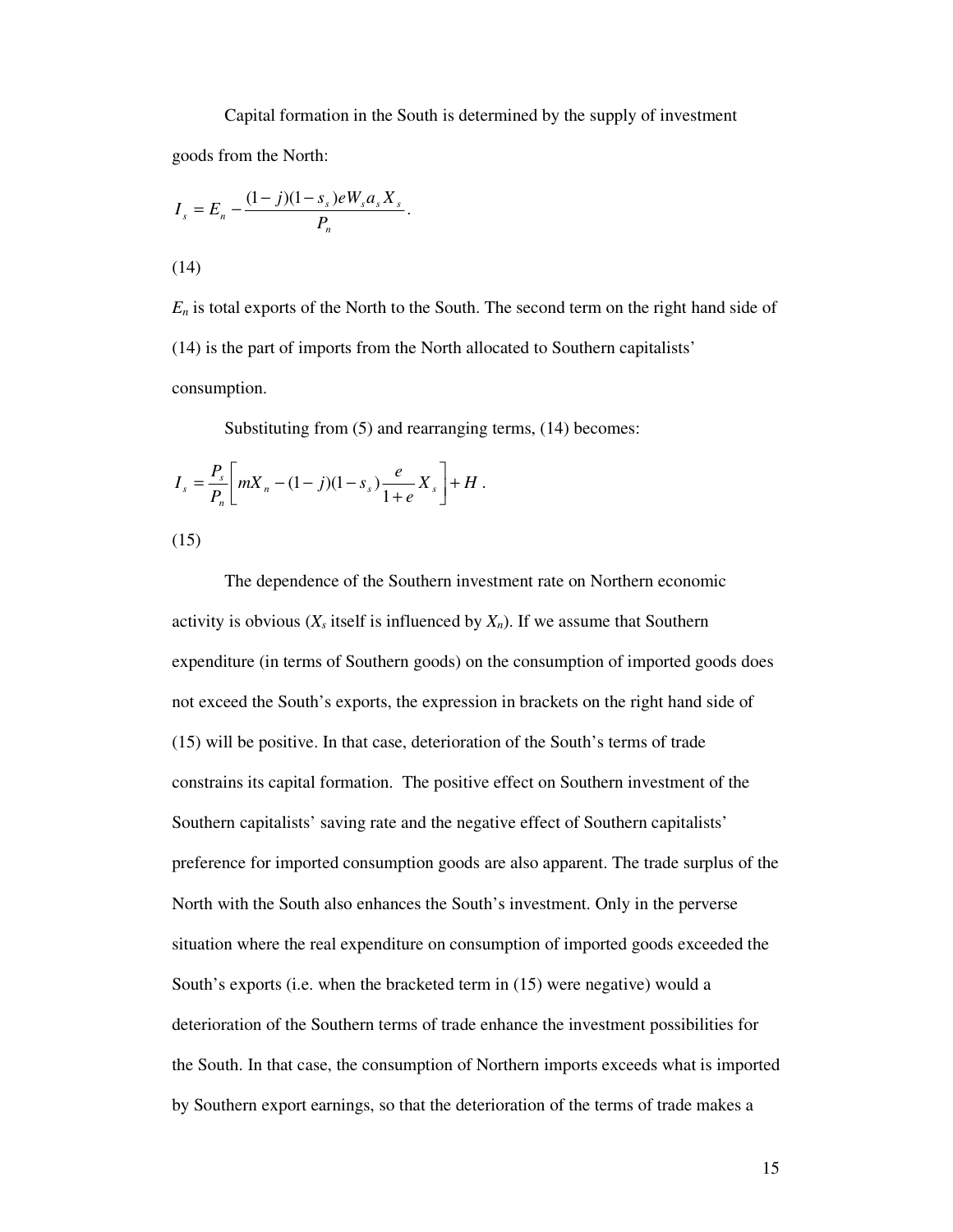Capital formation in the South is determined by the supply of investment goods from the North:

$$
I_s = E_n - \frac{(1-j)(1-s_s)eW_s a_s X_s}{P_n}.
$$

(14)

*E<sup>n</sup>* is total exports of the North to the South. The second term on the right hand side of (14) is the part of imports from the North allocated to Southern capitalists' consumption.

Substituting from (5) and rearranging terms, (14) becomes:

$$
I_s = \frac{P_s}{P_n} \left[ mX_n - (1-j)(1-s_s) \frac{e}{1+e} X_s \right] + H \, .
$$

(15)

The dependence of the Southern investment rate on Northern economic activity is obvious  $(X_s$  itself is influenced by  $X_n$ ). If we assume that Southern expenditure (in terms of Southern goods) on the consumption of imported goods does not exceed the South's exports, the expression in brackets on the right hand side of (15) will be positive. In that case, deterioration of the South's terms of trade constrains its capital formation. The positive effect on Southern investment of the Southern capitalists' saving rate and the negative effect of Southern capitalists' preference for imported consumption goods are also apparent. The trade surplus of the North with the South also enhances the South's investment. Only in the perverse situation where the real expenditure on consumption of imported goods exceeded the South's exports (i.e. when the bracketed term in (15) were negative) would a deterioration of the Southern terms of trade enhance the investment possibilities for the South. In that case, the consumption of Northern imports exceeds what is imported by Southern export earnings, so that the deterioration of the terms of trade makes a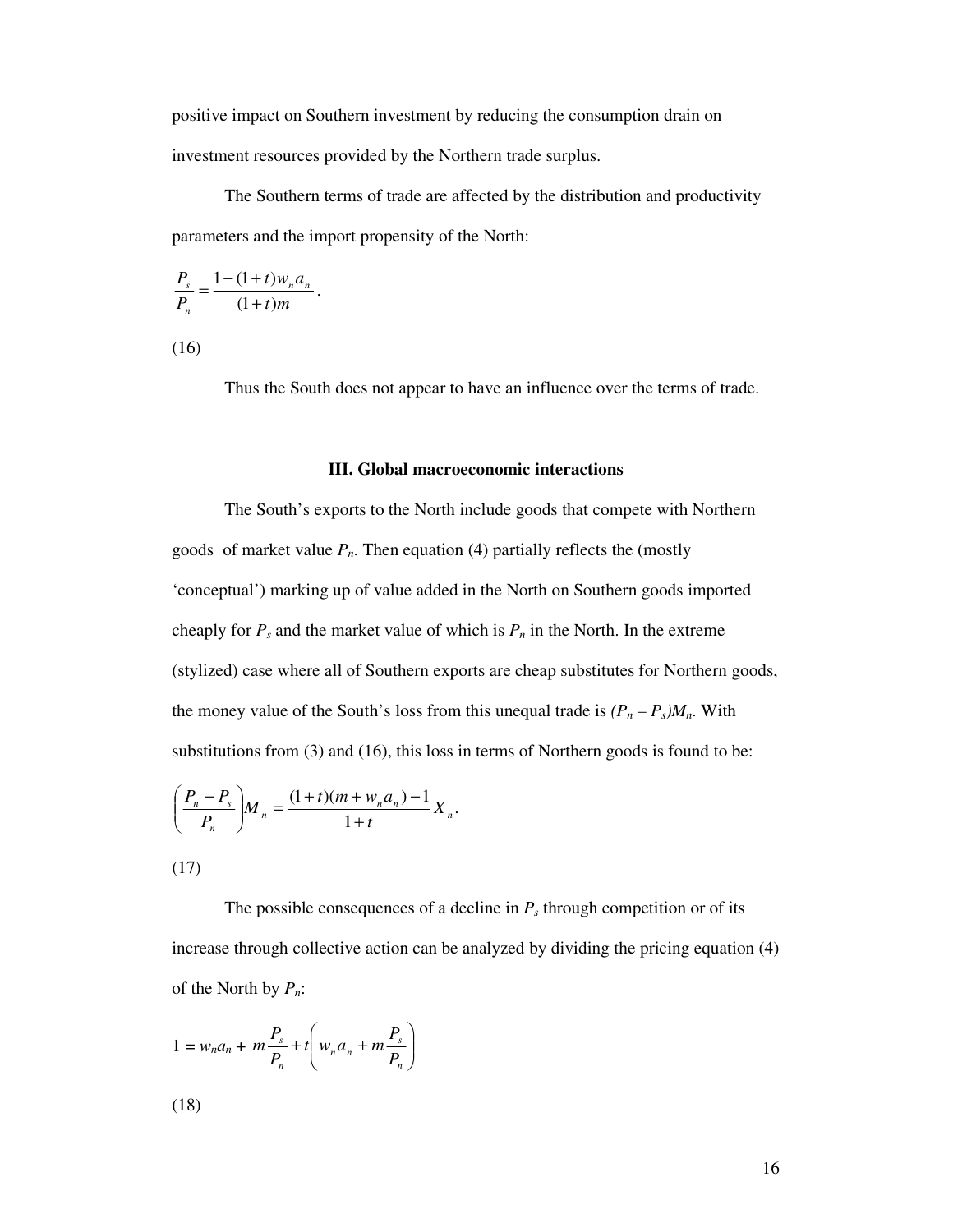positive impact on Southern investment by reducing the consumption drain on investment resources provided by the Northern trade surplus.

The Southern terms of trade are affected by the distribution and productivity parameters and the import propensity of the North:

$$
\frac{P_s}{P_n} = \frac{1 - (1+t)w_n a_n}{(1+t)m}.
$$

(16)

Thus the South does not appear to have an influence over the terms of trade.

#### **III. Global macroeconomic interactions**

The South's exports to the North include goods that compete with Northern goods of market value  $P_n$ . Then equation (4) partially reflects the (mostly 'conceptual') marking up of value added in the North on Southern goods imported cheaply for  $P_s$  and the market value of which is  $P_n$  in the North. In the extreme (stylized) case where all of Southern exports are cheap substitutes for Northern goods, the money value of the South's loss from this unequal trade is  $(P_n - P_s)M_n$ . With substitutions from (3) and (16), this loss in terms of Northern goods is found to be:

$$
\left(\frac{P_n - P_s}{P_n}\right) M_n = \frac{(1+t)(m + w_n a_n) - 1}{1+t} X_n.
$$

(17)

The possible consequences of a decline in  $P_s$  through competition or of its increase through collective action can be analyzed by dividing the pricing equation (4) of the North by *Pn*:

$$
1 = w_n a_n + m \frac{P_s}{P_n} + t \left( w_n a_n + m \frac{P_s}{P_n} \right)
$$

(18)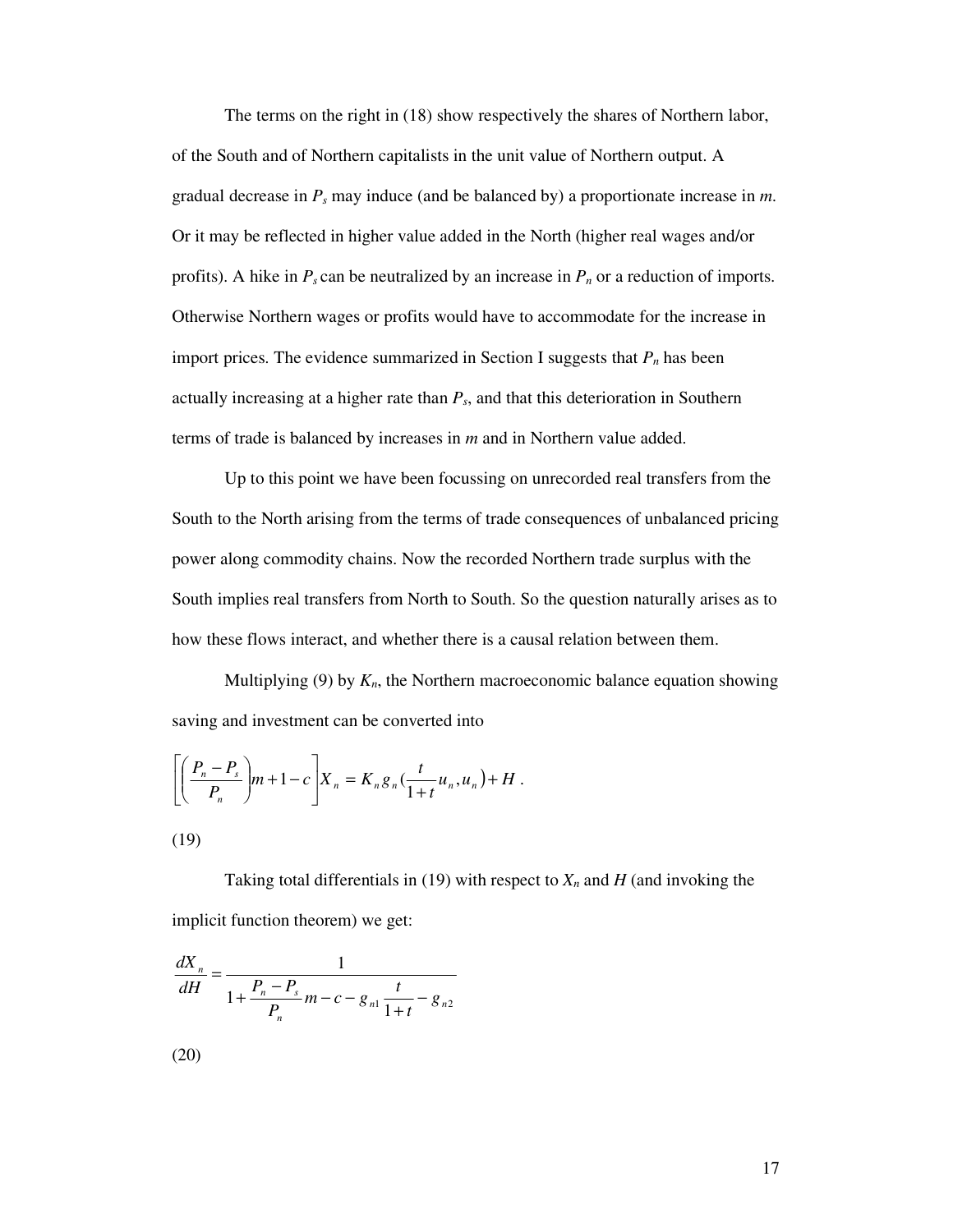The terms on the right in (18) show respectively the shares of Northern labor, of the South and of Northern capitalists in the unit value of Northern output. A gradual decrease in *P<sup>s</sup>* may induce (and be balanced by) a proportionate increase in *m*. Or it may be reflected in higher value added in the North (higher real wages and/or profits). A hike in  $P_s$  can be neutralized by an increase in  $P_n$  or a reduction of imports. Otherwise Northern wages or profits would have to accommodate for the increase in import prices. The evidence summarized in Section I suggests that *P<sup>n</sup>* has been actually increasing at a higher rate than *Ps*, and that this deterioration in Southern terms of trade is balanced by increases in *m* and in Northern value added.

Up to this point we have been focussing on unrecorded real transfers from the South to the North arising from the terms of trade consequences of unbalanced pricing power along commodity chains. Now the recorded Northern trade surplus with the South implies real transfers from North to South. So the question naturally arises as to how these flows interact, and whether there is a causal relation between them.

Multiplying (9) by *Kn*, the Northern macroeconomic balance equation showing saving and investment can be converted into

$$
\left[\left(\frac{P_n-P_s}{P_n}\right)m+1-c\right]X_n=K_n g_n\left(\frac{t}{1+t}u_n,u_n\right)+H.
$$

$$
(19)
$$

Taking total differentials in (19) with respect to  $X_n$  and  $H$  (and invoking the implicit function theorem) we get:

$$
\frac{dX_n}{dH} = \frac{1}{1 + \frac{P_n - P_s}{P_n}m - c - g_{n1}\frac{t}{1 + t} - g_{n2}}
$$

$$
(20)
$$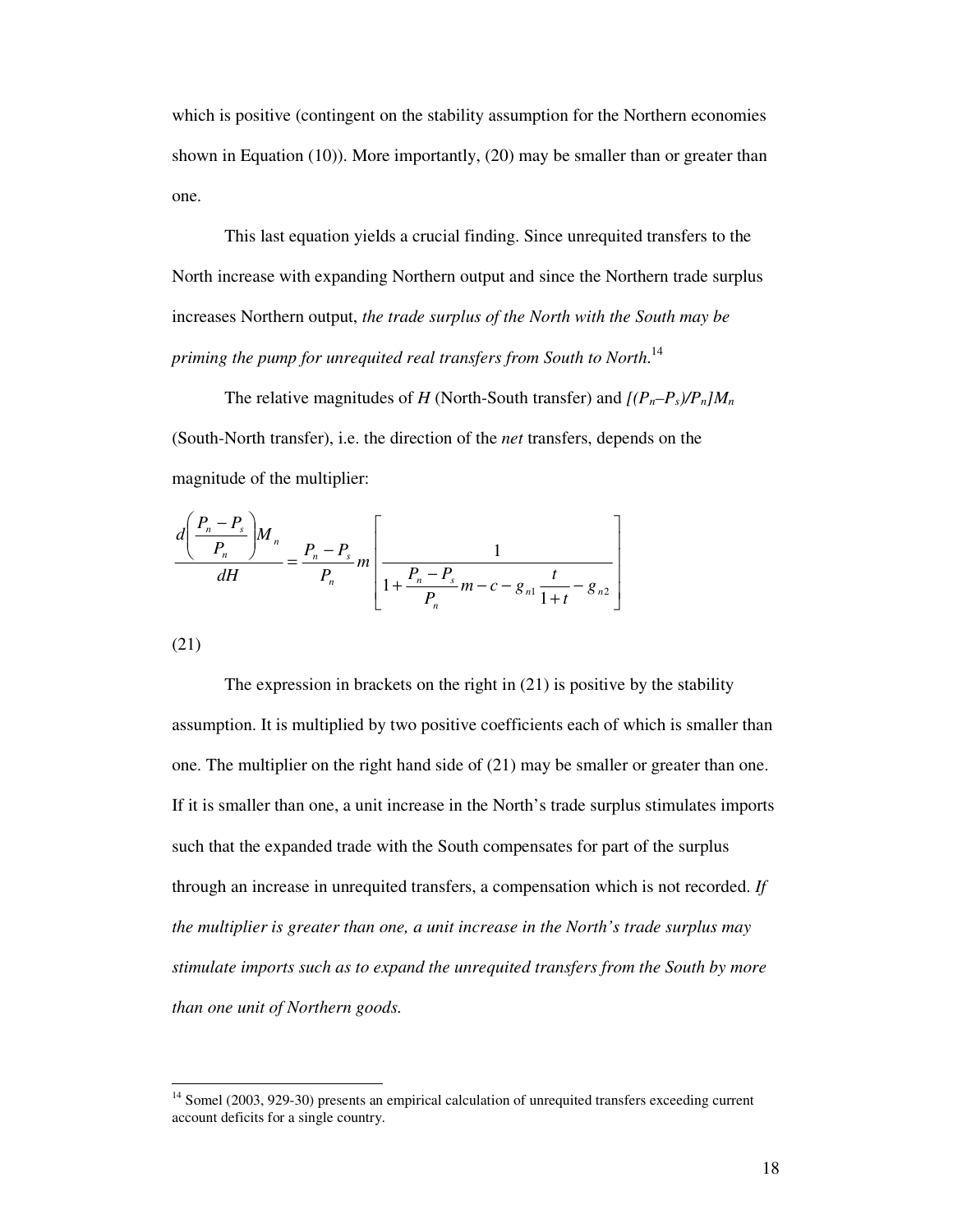which is positive (contingent on the stability assumption for the Northern economies shown in Equation (10)). More importantly, (20) may be smaller than or greater than one.

This last equation yields a crucial finding. Since unrequited transfers to the North increase with expanding Northern output and since the Northern trade surplus increases Northern output, *the trade surplus of the North with the South may be priming the pump for unrequited real transfers from South to North*. 14

The relative magnitudes of *H* (North-South transfer) and  $[(P_n-P_s)/P_n]M_n$ (South-North transfer), i.e. the direction of the *net* transfers, depends on the magnitude of the multiplier:

$$
\frac{d\left(\frac{P_n - P_s}{P_n}\right)M_n}{dH} = \frac{P_n - P_s}{P_n} m \left[\frac{1}{1 + \frac{P_n - P_s}{P_n}m - c - g_{n1} \frac{t}{1 + t} - g_{n2}}\right]
$$

(21)

The expression in brackets on the right in (21) is positive by the stability assumption. It is multiplied by two positive coefficients each of which is smaller than one. The multiplier on the right hand side of (21) may be smaller or greater than one. If it is smaller than one, a unit increase in the North's trade surplus stimulates imports such that the expanded trade with the South compensates for part of the surplus through an increase in unrequited transfers, a compensation which is not recorded. *If the multiplier is greater than one, a unit increase in the North's trade surplus may stimulate imports such as to expand the unrequited transfers from the South by more than one unit of Northern goods.*

<sup>&</sup>lt;sup>14</sup> Somel (2003, 929-30) presents an empirical calculation of unrequited transfers exceeding current account deficits for a single country.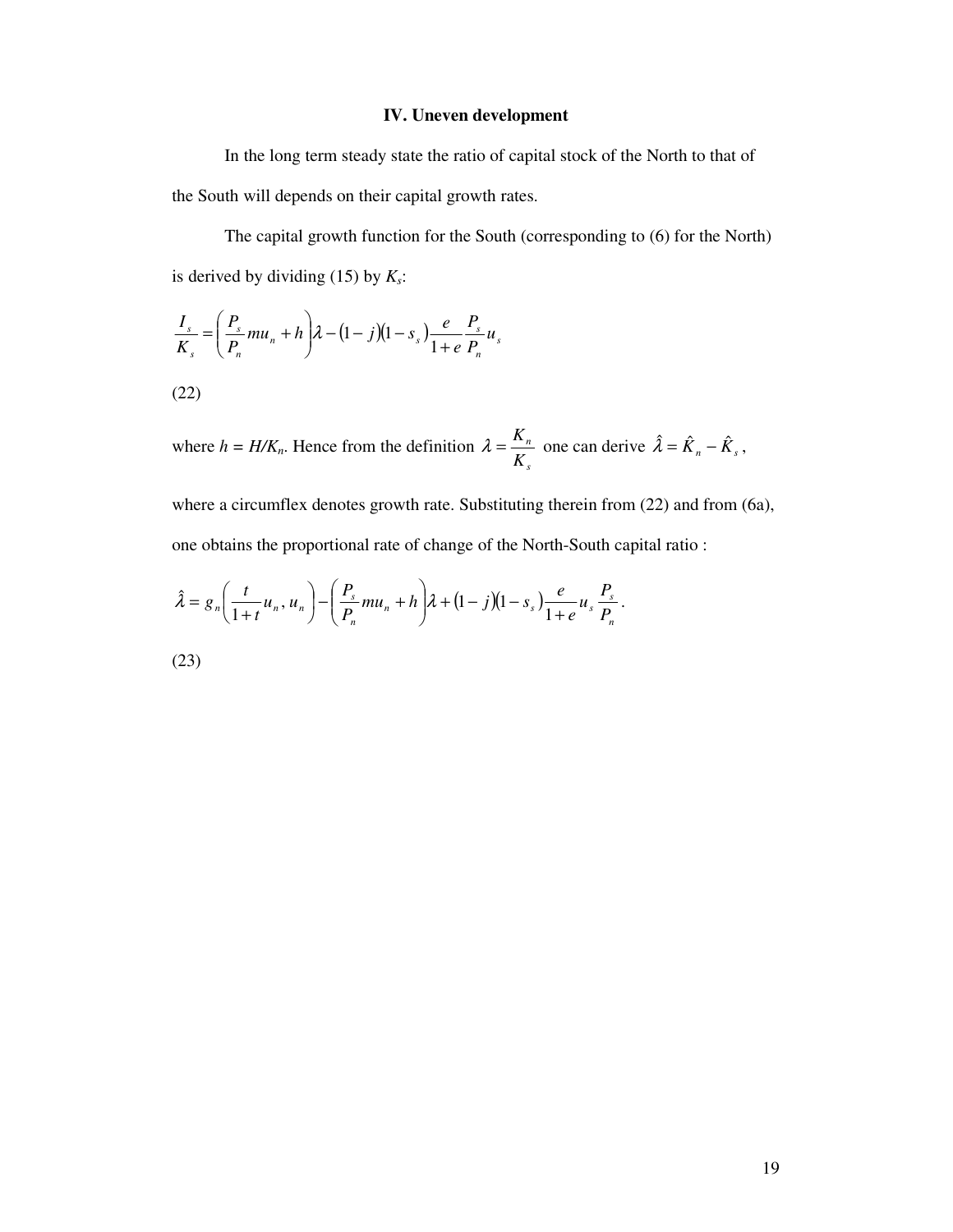# **IV. Uneven development**

In the long term steady state the ratio of capital stock of the North to that of the South will depends on their capital growth rates.

The capital growth function for the South (corresponding to (6) for the North) is derived by dividing (15) by *Ks*:

$$
\frac{I_s}{K_s} = \left(\frac{P_s}{P_n}mu_n + h\right)\lambda - (1 - j)(1 - s_s)\frac{e}{1 + e}\frac{P_s}{P_n}u_s
$$

(22)

where  $h = H/K_n$ . Hence from the definition *s n K*  $\lambda = \frac{K_n}{K}$  one can derive  $\hat{\lambda} = \hat{K}_n - \hat{K}_s$ ,

where a circumflex denotes growth rate. Substituting therein from (22) and from (6a), one obtains the proportional rate of change of the North-South capital ratio :

$$
\hat{\lambda} = g_n\bigg(\frac{t}{1+t}u_n, u_n\bigg) - \bigg(\frac{P_s}{P_n}mu_n + h\bigg)\lambda + (1-j)(1-s_s)\frac{e}{1+e}u_s\frac{P_s}{P_n}.
$$

(23)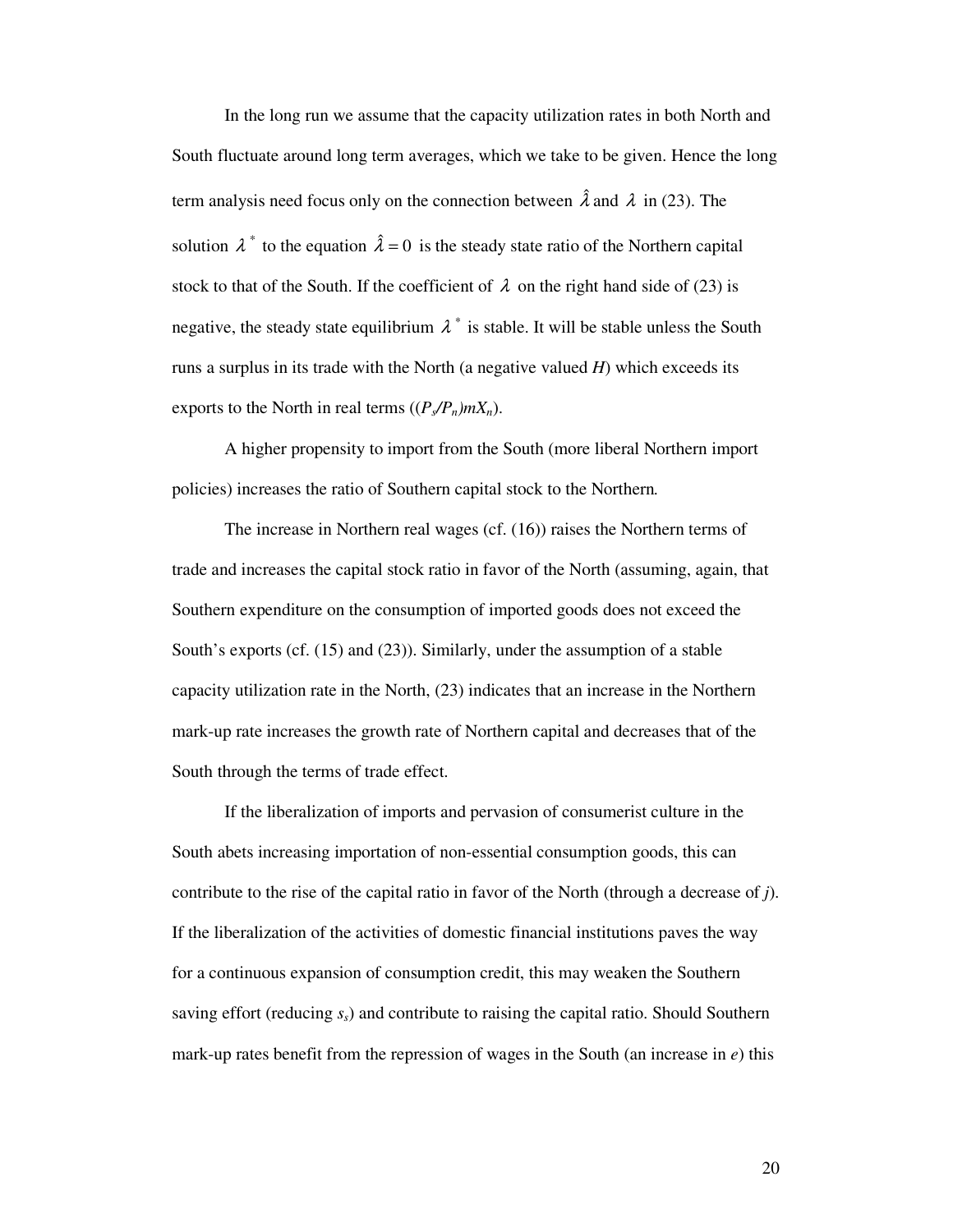In the long run we assume that the capacity utilization rates in both North and South fluctuate around long term averages, which we take to be given. Hence the long term analysis need focus only on the connection between  $\hat{\lambda}$  and  $\lambda$  in (23). The solution  $\lambda^*$  to the equation  $\hat{\lambda} = 0$  is the steady state ratio of the Northern capital stock to that of the South. If the coefficient of  $\lambda$  on the right hand side of (23) is negative, the steady state equilibrium  $\lambda^*$  is stable. It will be stable unless the South runs a surplus in its trade with the North (a negative valued *H*) which exceeds its exports to the North in real terms  $((P_s/P_n)mX_n)$ .

A higher propensity to import from the South (more liberal Northern import policies) increases the ratio of Southern capital stock to the Northern*.*

The increase in Northern real wages (cf. (16)) raises the Northern terms of trade and increases the capital stock ratio in favor of the North (assuming, again, that Southern expenditure on the consumption of imported goods does not exceed the South's exports (cf. (15) and (23)). Similarly, under the assumption of a stable capacity utilization rate in the North, (23) indicates that an increase in the Northern mark-up rate increases the growth rate of Northern capital and decreases that of the South through the terms of trade effect.

If the liberalization of imports and pervasion of consumerist culture in the South abets increasing importation of non-essential consumption goods, this can contribute to the rise of the capital ratio in favor of the North (through a decrease of *j*). If the liberalization of the activities of domestic financial institutions paves the way for a continuous expansion of consumption credit, this may weaken the Southern saving effort (reducing *ss*) and contribute to raising the capital ratio. Should Southern mark-up rates benefit from the repression of wages in the South (an increase in *e*) this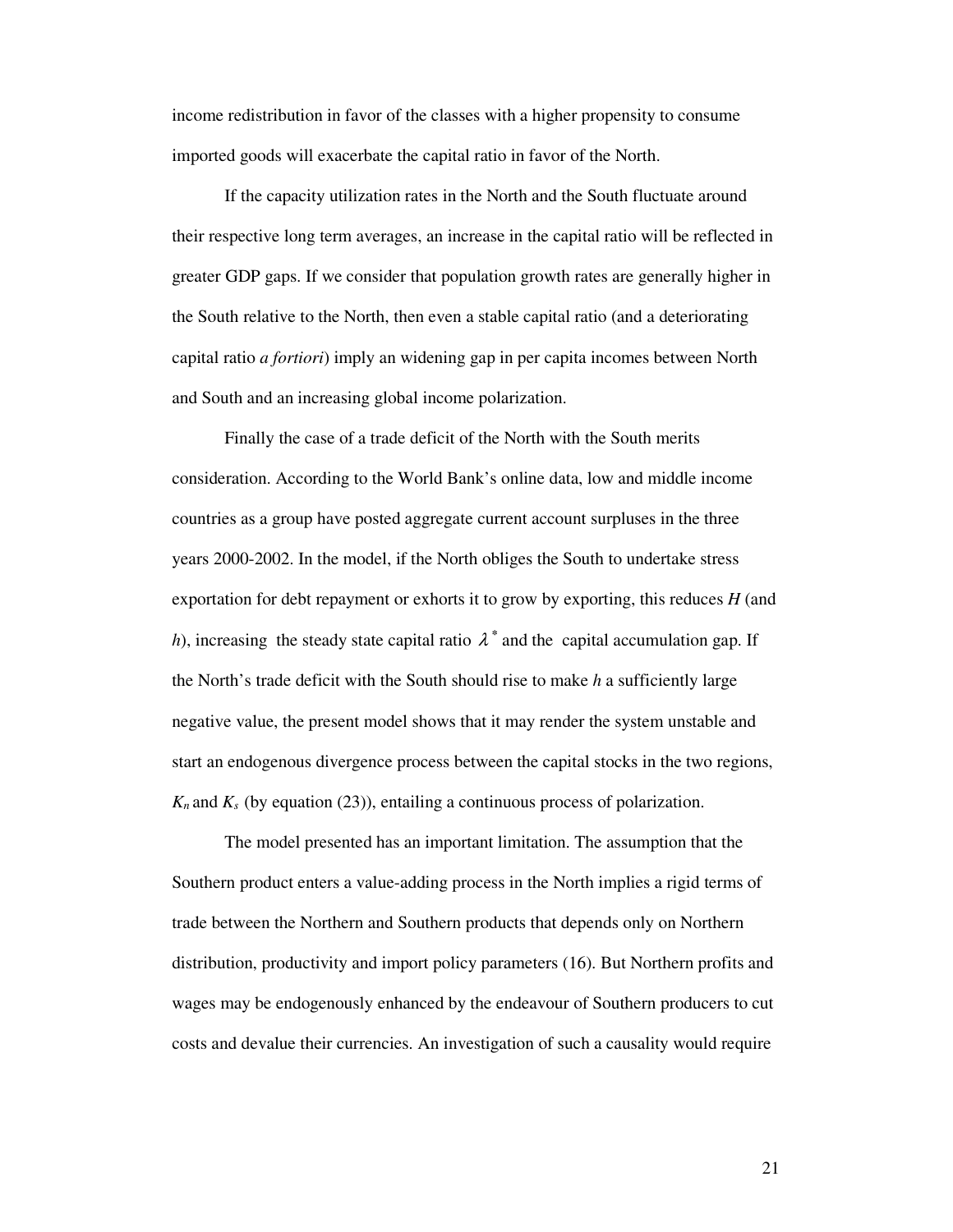income redistribution in favor of the classes with a higher propensity to consume imported goods will exacerbate the capital ratio in favor of the North.

If the capacity utilization rates in the North and the South fluctuate around their respective long term averages, an increase in the capital ratio will be reflected in greater GDP gaps. If we consider that population growth rates are generally higher in the South relative to the North, then even a stable capital ratio (and a deteriorating capital ratio *a fortiori*) imply an widening gap in per capita incomes between North and South and an increasing global income polarization.

Finally the case of a trade deficit of the North with the South merits consideration. According to the World Bank's online data, low and middle income countries as a group have posted aggregate current account surpluses in the three years 2000-2002. In the model, if the North obliges the South to undertake stress exportation for debt repayment or exhorts it to grow by exporting, this reduces *H* (and *h*), increasing the steady state capital ratio  $\lambda^*$  and the capital accumulation gap. If the North's trade deficit with the South should rise to make *h* a sufficiently large negative value, the present model shows that it may render the system unstable and start an endogenous divergence process between the capital stocks in the two regions,  $K_n$  and  $K_s$  (by equation (23)), entailing a continuous process of polarization.

The model presented has an important limitation. The assumption that the Southern product enters a value-adding process in the North implies a rigid terms of trade between the Northern and Southern products that depends only on Northern distribution, productivity and import policy parameters (16). But Northern profits and wages may be endogenously enhanced by the endeavour of Southern producers to cut costs and devalue their currencies. An investigation of such a causality would require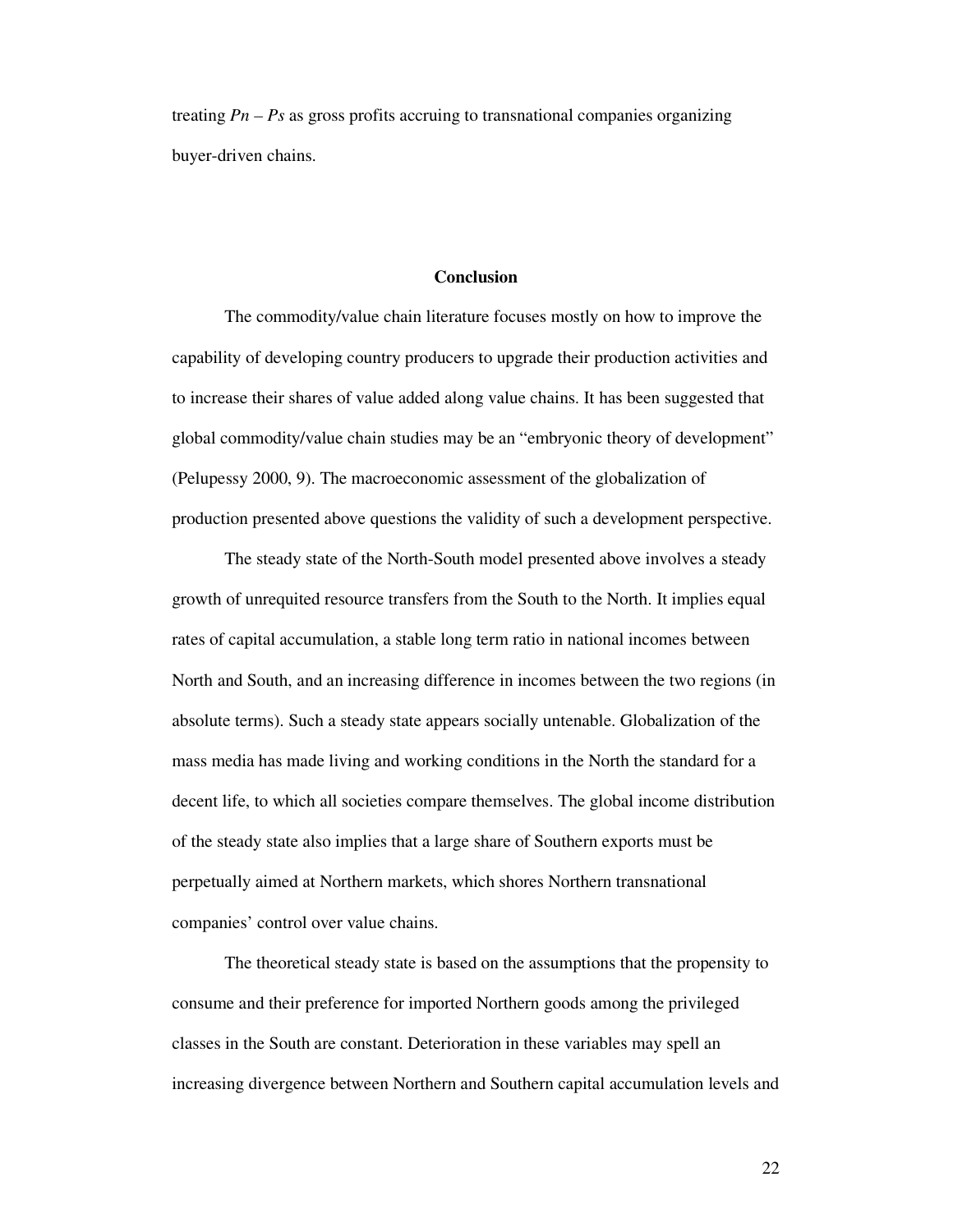treating *Pn – Ps* as gross profits accruing to transnational companies organizing buyer-driven chains.

## **Conclusion**

The commodity/value chain literature focuses mostly on how to improve the capability of developing country producers to upgrade their production activities and to increase their shares of value added along value chains. It has been suggested that global commodity/value chain studies may be an "embryonic theory of development" (Pelupessy 2000, 9). The macroeconomic assessment of the globalization of production presented above questions the validity of such a development perspective.

The steady state of the North-South model presented above involves a steady growth of unrequited resource transfers from the South to the North. It implies equal rates of capital accumulation, a stable long term ratio in national incomes between North and South, and an increasing difference in incomes between the two regions (in absolute terms). Such a steady state appears socially untenable. Globalization of the mass media has made living and working conditions in the North the standard for a decent life, to which all societies compare themselves. The global income distribution of the steady state also implies that a large share of Southern exports must be perpetually aimed at Northern markets, which shores Northern transnational companies' control over value chains.

The theoretical steady state is based on the assumptions that the propensity to consume and their preference for imported Northern goods among the privileged classes in the South are constant. Deterioration in these variables may spell an increasing divergence between Northern and Southern capital accumulation levels and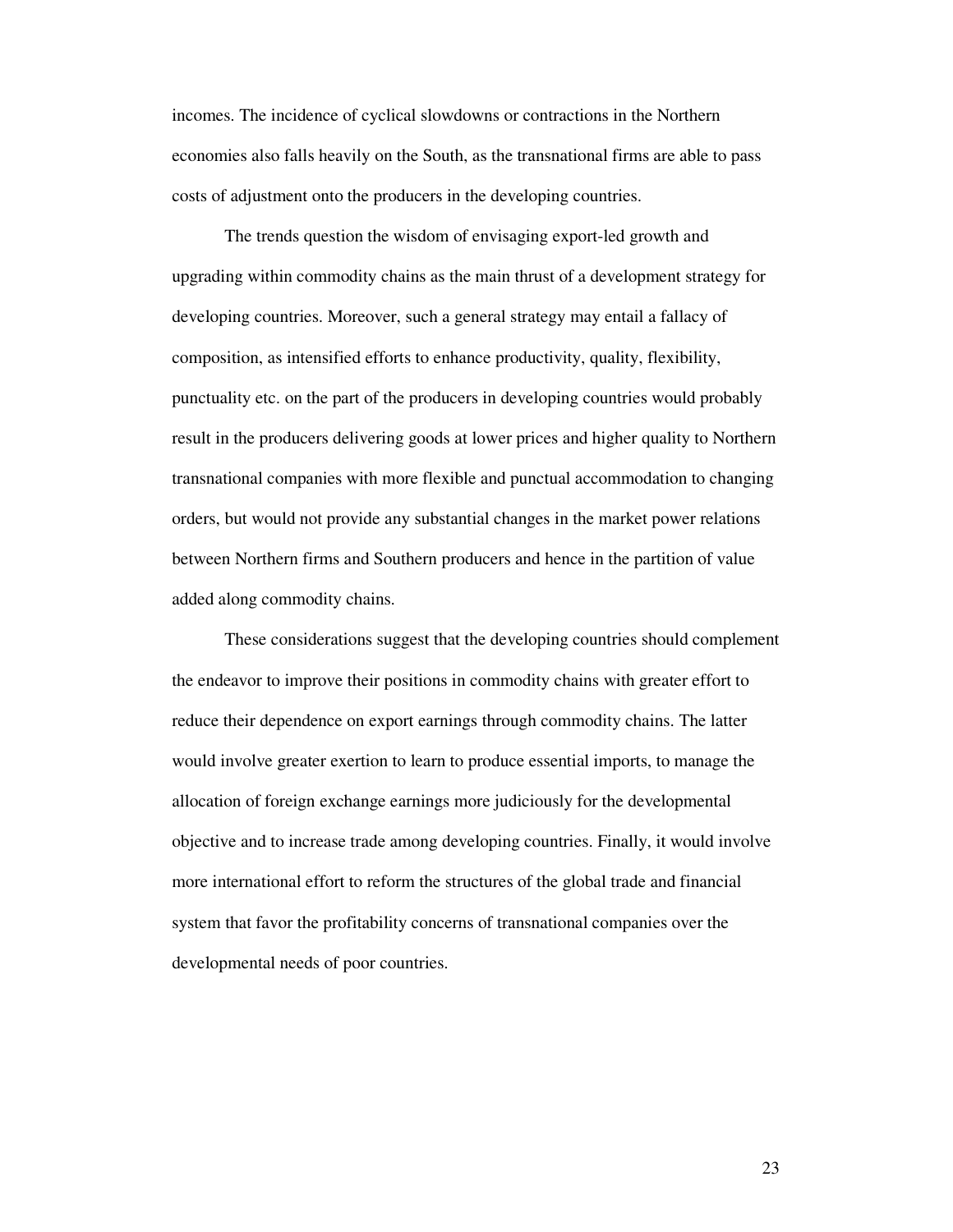incomes. The incidence of cyclical slowdowns or contractions in the Northern economies also falls heavily on the South, as the transnational firms are able to pass costs of adjustment onto the producers in the developing countries.

The trends question the wisdom of envisaging export-led growth and upgrading within commodity chains as the main thrust of a development strategy for developing countries. Moreover, such a general strategy may entail a fallacy of composition, as intensified efforts to enhance productivity, quality, flexibility, punctuality etc. on the part of the producers in developing countries would probably result in the producers delivering goods at lower prices and higher quality to Northern transnational companies with more flexible and punctual accommodation to changing orders, but would not provide any substantial changes in the market power relations between Northern firms and Southern producers and hence in the partition of value added along commodity chains.

These considerations suggest that the developing countries should complement the endeavor to improve their positions in commodity chains with greater effort to reduce their dependence on export earnings through commodity chains. The latter would involve greater exertion to learn to produce essential imports, to manage the allocation of foreign exchange earnings more judiciously for the developmental objective and to increase trade among developing countries. Finally, it would involve more international effort to reform the structures of the global trade and financial system that favor the profitability concerns of transnational companies over the developmental needs of poor countries.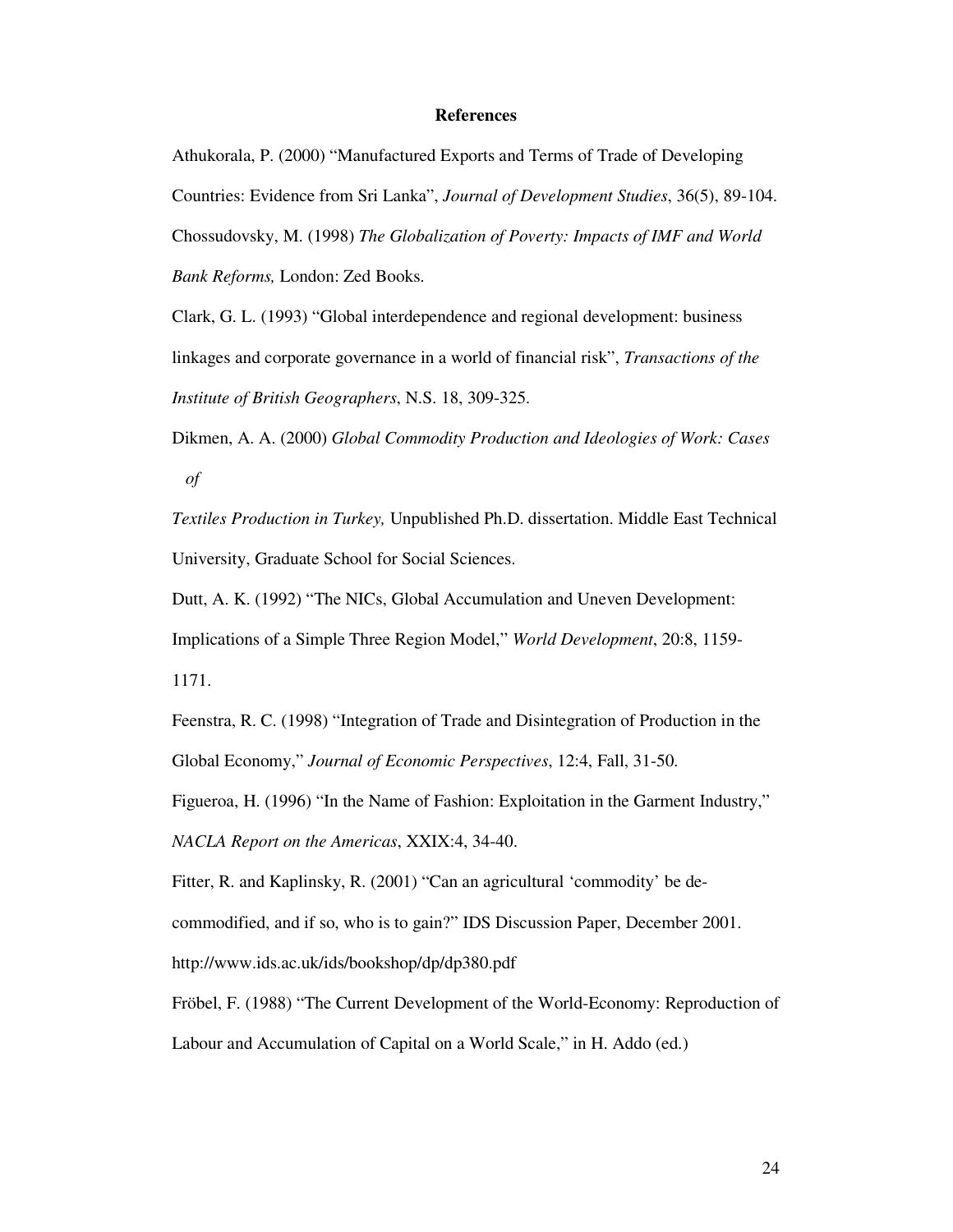## **References**

Athukorala, P. (2000) "Manufactured Exports and Terms of Trade of Developing Countries: Evidence from Sri Lanka", *Journal of Development Studies*, 36(5), 89-104. Chossudovsky, M. (1998) *The Globalization of Poverty: Impacts of IMF and World Bank Reforms,* London: Zed Books.

Clark, G. L. (1993) "Global interdependence and regional development: business linkages and corporate governance in a world of financial risk", *Transactions of the Institute of British Geographers*, N.S. 18, 309-325.

Dikmen, A. A. (2000) *Global Commodity Production and Ideologies of Work: Cases of*

*Textiles Production in Turkey,* Unpublished Ph.D. dissertation. Middle East Technical University, Graduate School for Social Sciences.

Dutt, A. K. (1992) "The NICs, Global Accumulation and Uneven Development: Implications of a Simple Three Region Model," *World Development*, 20:8, 1159- 1171.

Feenstra, R. C. (1998) "Integration of Trade and Disintegration of Production in the Global Economy," *Journal of Economic Perspectives*, 12:4, Fall, 31-50.

Figueroa, H. (1996) "In the Name of Fashion: Exploitation in the Garment Industry,"

*NACLA Report on the Americas*, XXIX:4, 34-40.

Fitter, R. and Kaplinsky, R. (2001) "Can an agricultural 'commodity' be de-

commodified, and if so, who is to gain?" IDS Discussion Paper, December 2001.

http://www.ids.ac.uk/ids/bookshop/dp/dp380.pdf

Fröbel, F. (1988) "The Current Development of the World-Economy: Reproduction of Labour and Accumulation of Capital on a World Scale," in H. Addo (ed.)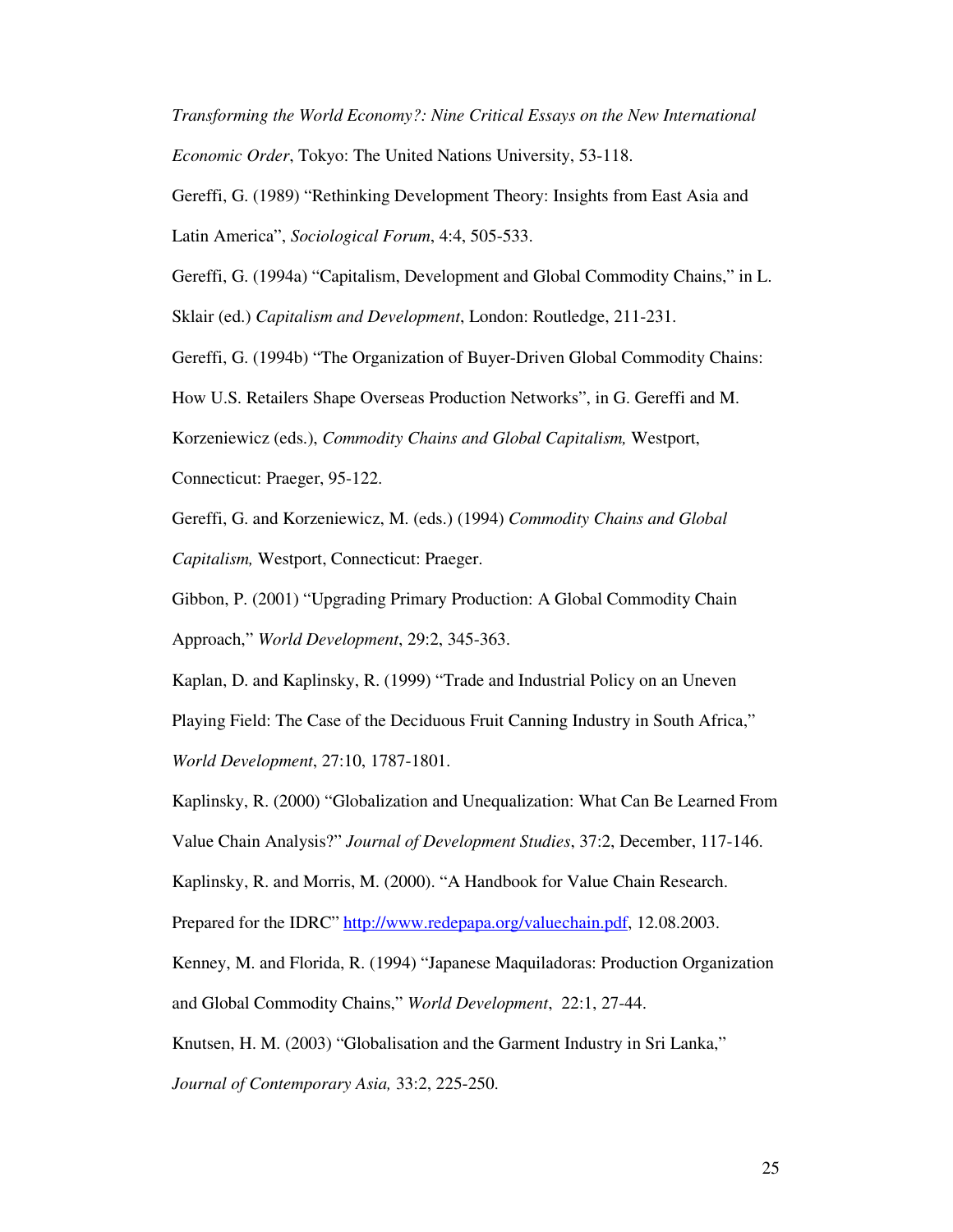*Transforming the World Economy?: Nine Critical Essays on the New International Economic Order*, Tokyo: The United Nations University, 53-118.

Gereffi, G. (1989) "Rethinking Development Theory: Insights from East Asia and Latin America", *Sociological Forum*, 4:4, 505-533.

Gereffi, G. (1994a) "Capitalism, Development and Global Commodity Chains," in L.

Sklair (ed.) *Capitalism and Development*, London: Routledge, 211-231.

Gereffi, G. (1994b) "The Organization of Buyer-Driven Global Commodity Chains:

How U.S. Retailers Shape Overseas Production Networks", in G. Gereffi and M.

Korzeniewicz (eds.), *Commodity Chains and Global Capitalism,* Westport,

Connecticut: Praeger, 95-122.

Gereffi, G. and Korzeniewicz, M. (eds.) (1994) *Commodity Chains and Global Capitalism,* Westport, Connecticut: Praeger.

Gibbon, P. (2001) "Upgrading Primary Production: A Global Commodity Chain Approach," *World Development*, 29:2, 345-363.

Kaplan, D. and Kaplinsky, R. (1999) "Trade and Industrial Policy on an Uneven Playing Field: The Case of the Deciduous Fruit Canning Industry in South Africa," *World Development*, 27:10, 1787-1801.

Kaplinsky, R. (2000) "Globalization and Unequalization: What Can Be Learned From

Value Chain Analysis?" *Journal of Development Studies*, 37:2, December, 117-146.

Kaplinsky, R. and Morris, M. (2000). "A Handbook for Value Chain Research.

Prepared for the IDRC" http://www.redepapa.org/valuechain.pdf, 12.08.2003.

Kenney, M. and Florida, R. (1994) "Japanese Maquiladoras: Production Organization and Global Commodity Chains," *World Development*, 22:1, 27-44.

Knutsen, H. M. (2003) "Globalisation and the Garment Industry in Sri Lanka,"

*Journal of Contemporary Asia,* 33:2, 225-250.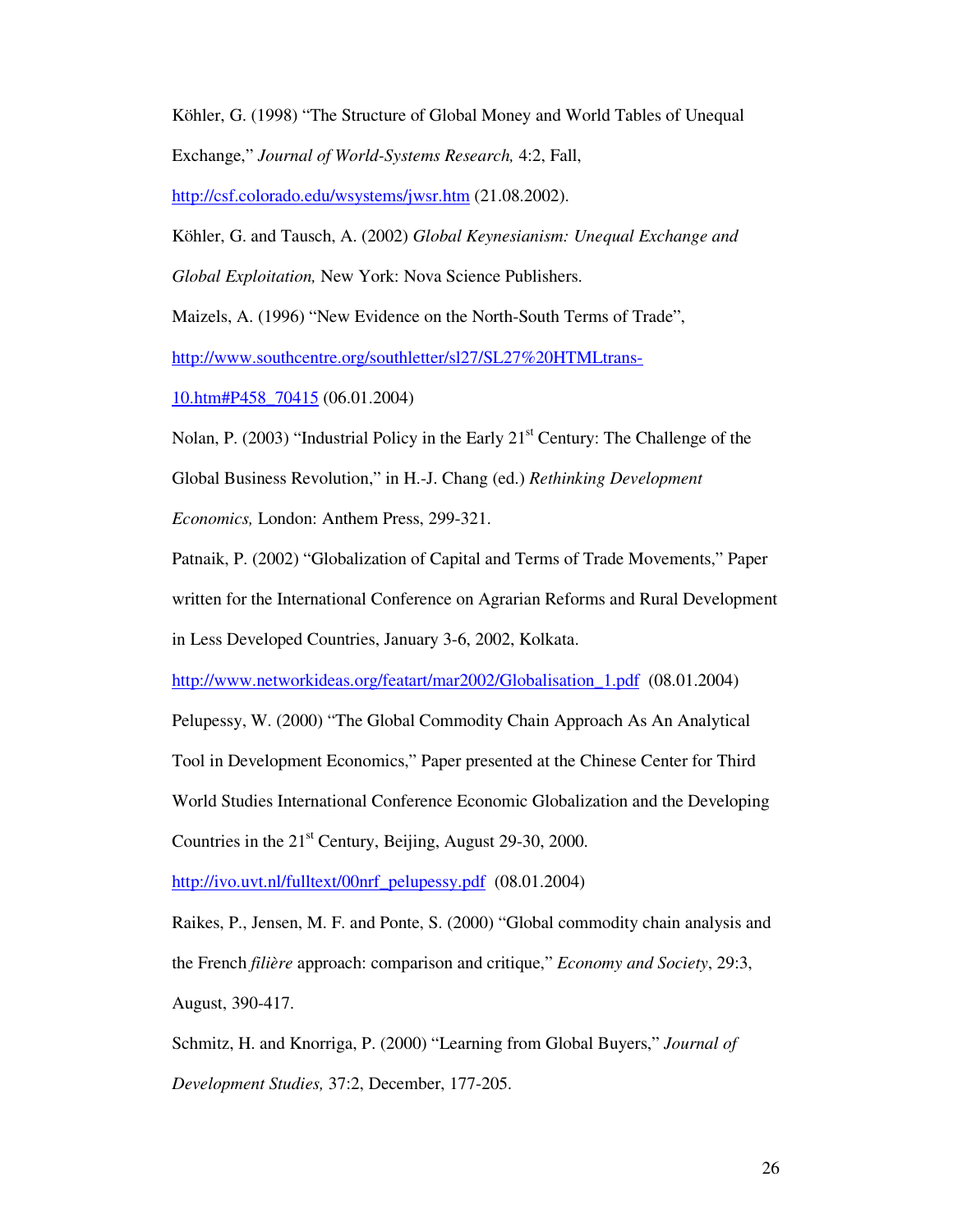Köhler, G. (1998) "The Structure of Global Money and World Tables of Unequal Exchange," *Journal of World-Systems Research,* 4:2, Fall,

http://csf.colorado.edu/wsystems/jwsr.htm (21.08.2002).

Köhler, G. and Tausch, A. (2002) *Global Keynesianism: Unequal Exchange and Global Exploitation,* New York: Nova Science Publishers.

Maizels, A. (1996) "New Evidence on the North-South Terms of Trade",

http://www.southcentre.org/southletter/sl27/SL27%20HTMLtrans-

10.htm#P458\_70415 (06.01.2004)

Nolan, P. (2003) "Industrial Policy in the Early 21<sup>st</sup> Century: The Challenge of the Global Business Revolution," in H.-J. Chang (ed.) *Rethinking Development Economics,* London: Anthem Press, 299-321.

Patnaik, P. (2002) "Globalization of Capital and Terms of Trade Movements," Paper written for the International Conference on Agrarian Reforms and Rural Development in Less Developed Countries, January 3-6, 2002, Kolkata.

http://www.networkideas.org/featart/mar2002/Globalisation\_1.pdf (08.01.2004)

Pelupessy, W. (2000) "The Global Commodity Chain Approach As An Analytical

Tool in Development Economics," Paper presented at the Chinese Center for Third

World Studies International Conference Economic Globalization and the Developing

Countries in the 21<sup>st</sup> Century, Beijing, August 29-30, 2000.

http://ivo.uvt.nl/fulltext/00nrf\_pelupessy.pdf (08.01.2004)

Raikes, P., Jensen, M. F. and Ponte, S. (2000) "Global commodity chain analysis and

the French *filière* approach: comparison and critique," *Economy and Society*, 29:3,

August, 390-417.

Schmitz, H. and Knorriga, P. (2000) "Learning from Global Buyers," *Journal of Development Studies,* 37:2, December, 177-205.